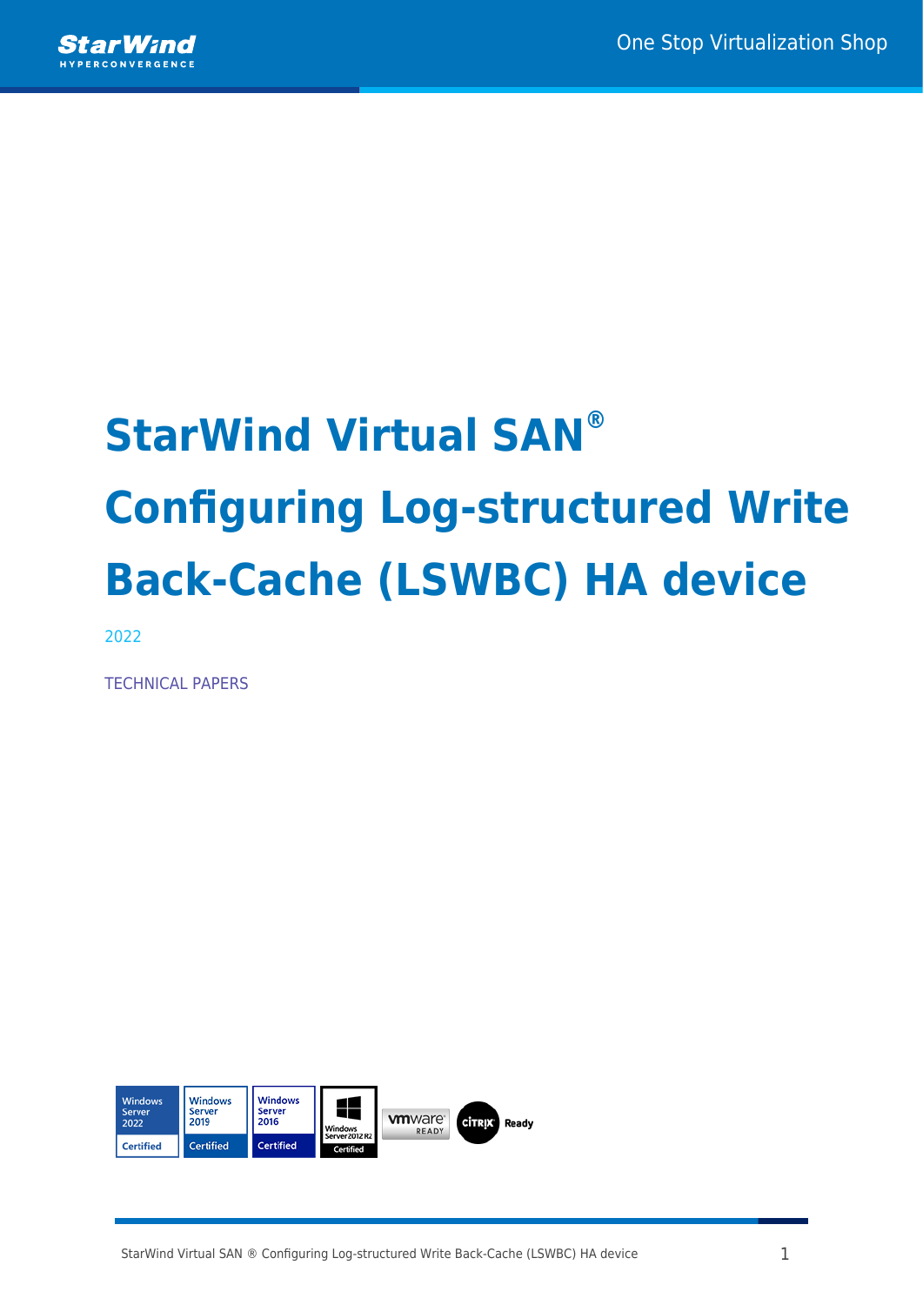

# **StarWind Virtual SAN® Configuring Log-structured Write Back-Cache (LSWBC) HA device**

2022

TECHNICAL PAPERS

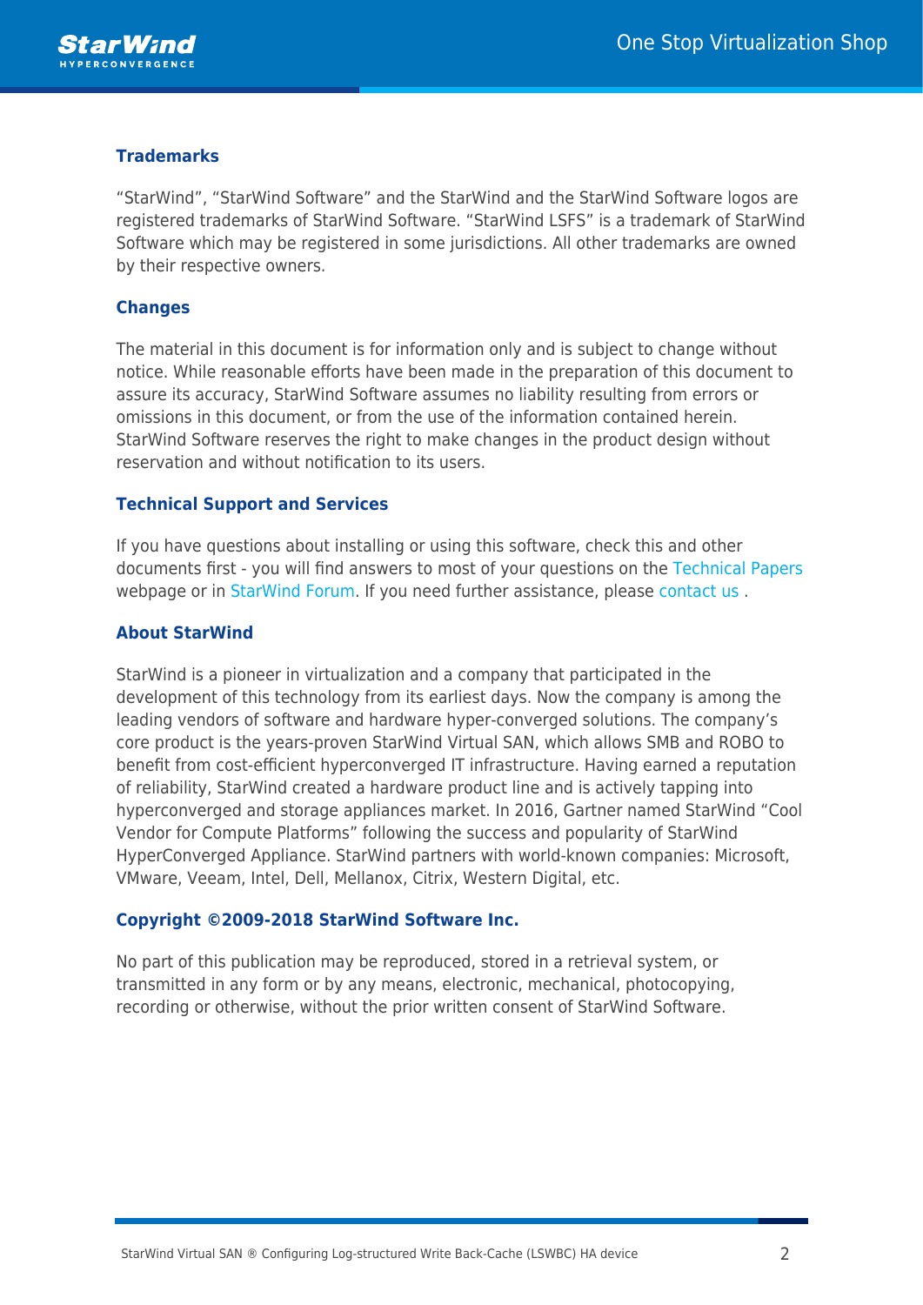

### **Trademarks**

"StarWind", "StarWind Software" and the StarWind and the StarWind Software logos are registered trademarks of StarWind Software. "StarWind LSFS" is a trademark of StarWind Software which may be registered in some jurisdictions. All other trademarks are owned by their respective owners.

#### **Changes**

The material in this document is for information only and is subject to change without notice. While reasonable efforts have been made in the preparation of this document to assure its accuracy, StarWind Software assumes no liability resulting from errors or omissions in this document, or from the use of the information contained herein. StarWind Software reserves the right to make changes in the product design without reservation and without notification to its users.

#### **Technical Support and Services**

If you have questions about installing or using this software, check this and other documents first - you will find answers to most of your questions on the [Technical Papers](https://www.starwind.com/resource-library) webpage or in [StarWind Forum](https://www.starwind.com/forums). If you need further assistance, please [contact us](https://www.starwind.com/contact-us) .

#### **About StarWind**

StarWind is a pioneer in virtualization and a company that participated in the development of this technology from its earliest days. Now the company is among the leading vendors of software and hardware hyper-converged solutions. The company's core product is the years-proven StarWind Virtual SAN, which allows SMB and ROBO to benefit from cost-efficient hyperconverged IT infrastructure. Having earned a reputation of reliability, StarWind created a hardware product line and is actively tapping into hyperconverged and storage appliances market. In 2016, Gartner named StarWind "Cool Vendor for Compute Platforms" following the success and popularity of StarWind HyperConverged Appliance. StarWind partners with world-known companies: Microsoft, VMware, Veeam, Intel, Dell, Mellanox, Citrix, Western Digital, etc.

#### **Copyright ©2009-2018 StarWind Software Inc.**

No part of this publication may be reproduced, stored in a retrieval system, or transmitted in any form or by any means, electronic, mechanical, photocopying, recording or otherwise, without the prior written consent of StarWind Software.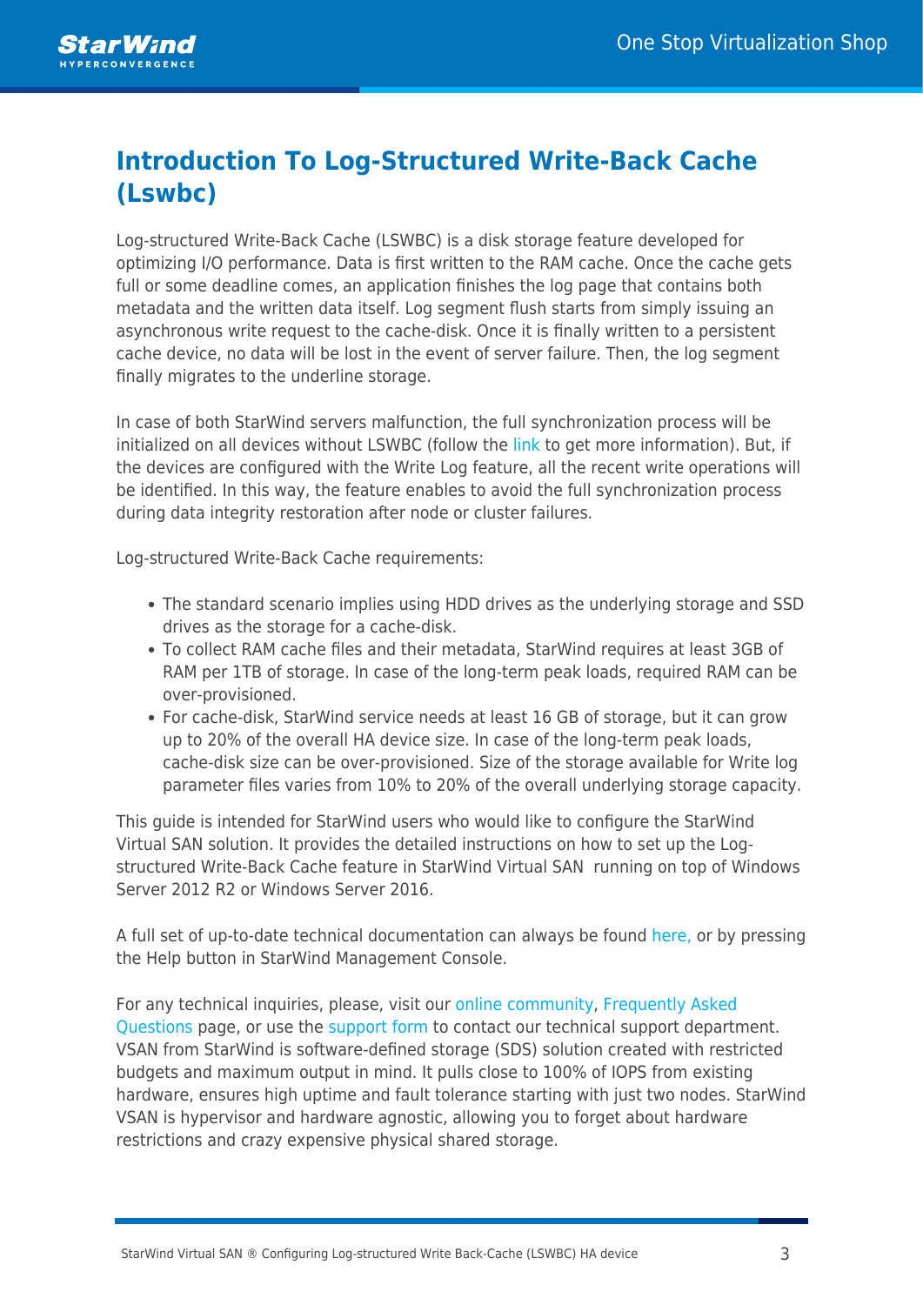## **Introduction To Log-Structured Write-Back Cache (Lswbc)**

Log-structured Write-Back Cache (LSWBC) is a disk storage feature developed for optimizing I/O performance. Data is first written to the RAM cache. Once the cache gets full or some deadline comes, an application finishes the log page that contains both metadata and the written data itself. Log segment flush starts from simply issuing an asynchronous write request to the cache-disk. Once it is finally written to a persistent cache device, no data will be lost in the event of server failure. Then, the log segment finally migrates to the underline storage.

In case of both StarWind servers malfunction, the full synchronization process will be initialized on all devices without LSWBC (follow the [link t](https://knowledgebase.starwindsoftware.com/explanation/reasons-why-full-synchronization-may-start/)o get more information). But, if the devices are configured with the Write Log feature, all the recent write operations will be identified. In this way, the feature enables to avoid the full synchronization process during data integrity restoration after node or cluster failures.

Log-structured Write-Back Cache requirements:

- The standard scenario implies using HDD drives as the underlying storage and SSD drives as the storage for a cache-disk.
- To collect RAM cache files and their metadata, StarWind requires at least 3GB of RAM per 1TB of storage. In case of the long-term peak loads, required RAM can be over-provisioned.
- For cache-disk, StarWind service needs at least 16 GB of storage, but it can grow up to 20% of the overall HA device size. In case of the long-term peak loads, cache-disk size can be over-provisioned. Size of the storage available for Write log parameter files varies from 10% to 20% of the overall underlying storage capacity.

This guide is intended for StarWind users who would like to configure the StarWind Virtual SAN solution. It provides the detailed instructions on how to set up the Logstructured Write-Back Cache feature in StarWind Virtual SAN running on top of Windows Server 2012 R2 or Windows Server 2016.

A full set of up-to-date technical documentation can always be found [here](https://www.starwind.com/resource-library/)[,](http://www.starwindsoftware.com/technical-papers) or by pressing the Help button in StarWind Management Console.

For any technical inquiries, please, visit our [online community](https://www.starwind.com/forums/), [Frequently Asked](https://www.starwind.com/starwind-faq) [Questions](https://www.starwind.com/starwind-faq) page, or use the [support form](https://www.starwind.com/support-form) to contact our technical support department. VSAN from StarWind is software-defined storage (SDS) solution created with restricted budgets and maximum output in mind. It pulls close to 100% of IOPS from existing hardware, ensures high uptime and fault tolerance starting with just two nodes. StarWind VSAN is hypervisor and hardware agnostic, allowing you to forget about hardware restrictions and crazy expensive physical shared storage.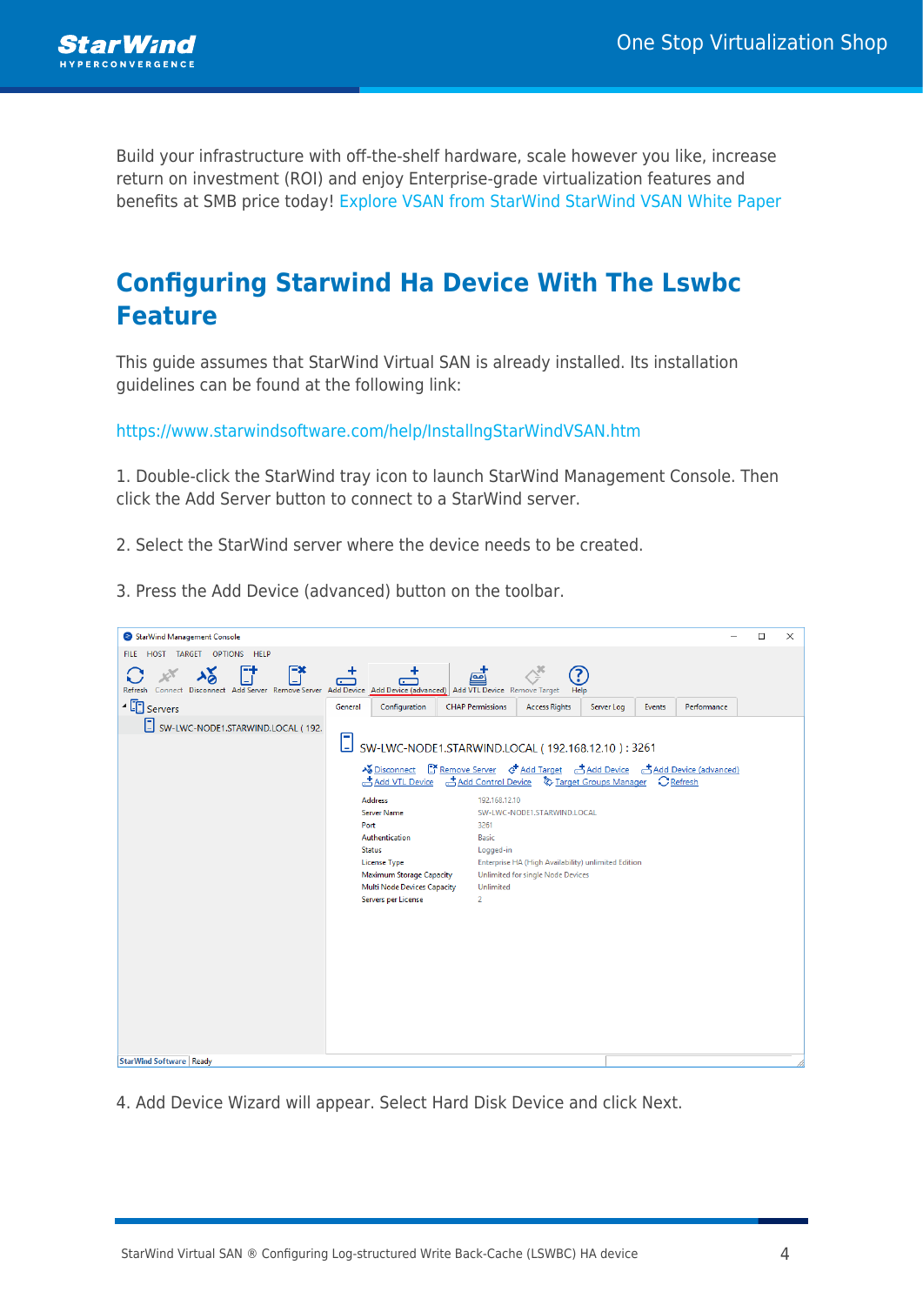

Build your infrastructure with off-the-shelf hardware, scale however you like, increase return on investment (ROI) and enjoy Enterprise-grade virtualization features and benefits at SMB price today! [Explore VSAN from StarWind](https://www.starwindsoftware.com/starwind-virtual-san) [StarWind VSAN White Paper](https://www.starwindsoftware.com/whitepapers/starwind-virtual-san-whitepaper.pdf)

## **Configuring Starwind Ha Device With The Lswbc Feature**

This guide assumes that StarWind Virtual SAN is already installed. Its installation guidelines can be found at the following link:

[https://www.starwindsoftware.com/help/InstallngStarWindVSAN.htm](https://www.starwindsoftware.com/help/InstallingStarWindVSAN.html)

1. Double-click the StarWind tray icon to launch StarWind Management Console. Then click the Add Server button to connect to a StarWind server.

2. Select the StarWind server where the device needs to be created.

| StarWind Management Console                                                                                                |                                                                                                                                                                                                                                                                                                                                                                 |                                                                                                                                                                                   |                                                                                                                                |            |        |             | $\Box$ | × |
|----------------------------------------------------------------------------------------------------------------------------|-----------------------------------------------------------------------------------------------------------------------------------------------------------------------------------------------------------------------------------------------------------------------------------------------------------------------------------------------------------------|-----------------------------------------------------------------------------------------------------------------------------------------------------------------------------------|--------------------------------------------------------------------------------------------------------------------------------|------------|--------|-------------|--------|---|
| HOST TARGET OPTIONS HELP<br><b>FILE</b>                                                                                    |                                                                                                                                                                                                                                                                                                                                                                 |                                                                                                                                                                                   |                                                                                                                                |            |        |             |        |   |
| F*<br>Connect Disconnect Add Server Remove Server Add Device Add Device (advanced) Add VTL Device Remove Target<br>Refresh | ٠<br>٠<br>$\Box$<br>$\sqrt{2}$                                                                                                                                                                                                                                                                                                                                  | <u>آمه</u> ]                                                                                                                                                                      | Help                                                                                                                           |            |        |             |        |   |
| $\sqrt{2}$ Servers                                                                                                         | General<br>Configuration                                                                                                                                                                                                                                                                                                                                        | <b>CHAP Permissions</b>                                                                                                                                                           | <b>Access Rights</b>                                                                                                           | Server Log | Events | Performance |        |   |
| SW-LWC-NODE1.STARWIND.LOCAL (192.                                                                                          | ⊡<br>SW-LWC-NODE1.STARWIND.LOCAL (192.168.12.10): 3261<br><b>»</b> Disconnect E* Remove Server G+ Add Target 큰 Add Device 큰 Add Device (advanced)<br>Add VTL Device<br><b>Address</b><br>Server Name<br>Port<br>Authentication<br><b>Status</b><br><b>License Type</b><br><b>Maximum Storage Capacity</b><br>Multi Node Devices Capacity<br>Servers per License | Add Control Device <a> Target Groups Manager <a> C<br/> Refresh<br/>192.168.12.10<br/>3261<br><b>Basic</b><br/>Logged-in<br/>Unlimited<br/><math>\overline{2}</math></br></a></a> | SW-LWC-NODE1.STARWIND.LOCAL<br>Enterprise HA (High Availability) unlimited Edition<br><b>Unlimited for single Node Devices</b> |            |        |             |        |   |
| <b>StarWind Software Ready</b>                                                                                             |                                                                                                                                                                                                                                                                                                                                                                 |                                                                                                                                                                                   |                                                                                                                                |            |        |             |        |   |

3. Press the Add Device (advanced) button on the toolbar.

4. Add Device Wizard will appear. Select Hard Disk Device and click Next.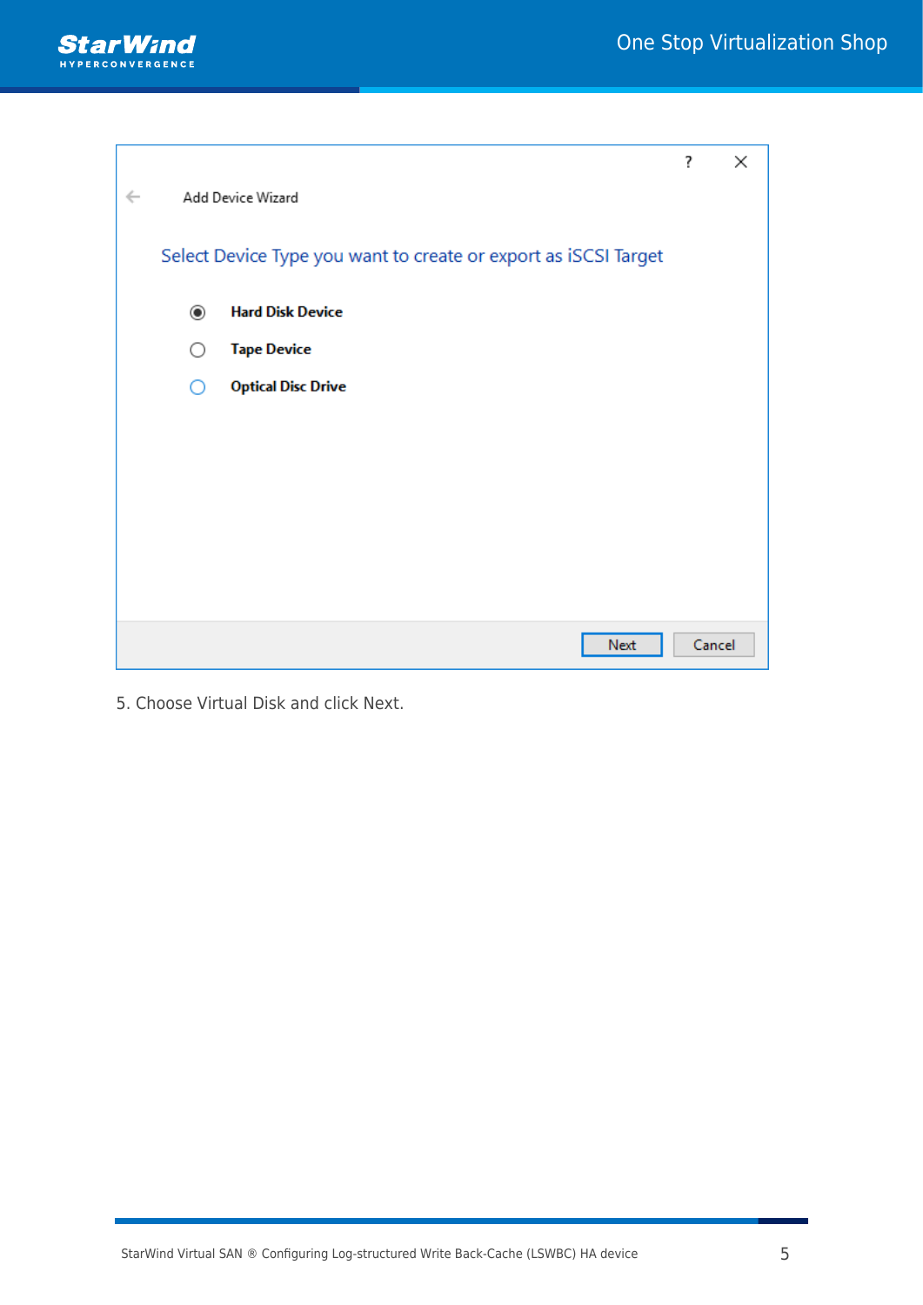

|              |                |                                                                 | ?      | × |
|--------------|----------------|-----------------------------------------------------------------|--------|---|
| $\leftarrow$ |                | Add Device Wizard                                               |        |   |
|              |                | Select Device Type you want to create or export as iSCSI Target |        |   |
|              | $\circledcirc$ | <b>Hard Disk Device</b>                                         |        |   |
|              | ∩              | <b>Tape Device</b>                                              |        |   |
|              |                | <b>Optical Disc Drive</b>                                       |        |   |
|              |                |                                                                 |        |   |
|              |                |                                                                 |        |   |
|              |                |                                                                 |        |   |
|              |                |                                                                 |        |   |
|              |                |                                                                 |        |   |
|              |                |                                                                 |        |   |
|              |                | Next                                                            | Cancel |   |

5. Choose Virtual Disk and click Next.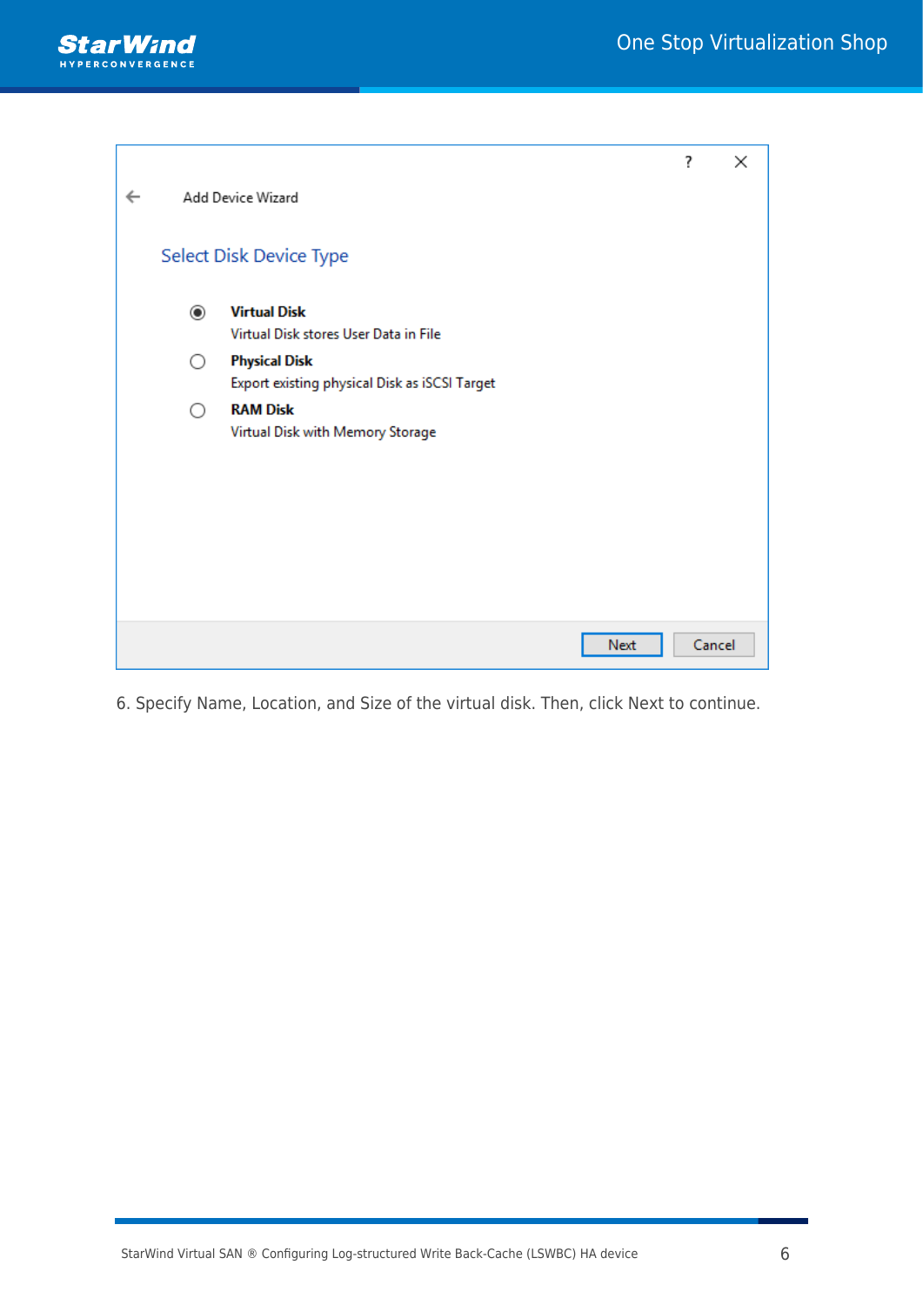

|              |                |                                               | ?      | $\times$ |
|--------------|----------------|-----------------------------------------------|--------|----------|
| $\leftarrow$ |                | Add Device Wizard                             |        |          |
|              |                |                                               |        |          |
|              |                | Select Disk Device Type                       |        |          |
|              | $\circledcirc$ | <b>Virtual Disk</b>                           |        |          |
|              |                | Virtual Disk stores User Data in File         |        |          |
|              | $($ )          | <b>Physical Disk</b>                          |        |          |
|              |                | Export existing physical Disk as iSCSI Target |        |          |
|              | ∩              | <b>RAM Disk</b>                               |        |          |
|              |                | Virtual Disk with Memory Storage              |        |          |
|              |                |                                               |        |          |
|              |                |                                               |        |          |
|              |                |                                               |        |          |
|              |                |                                               |        |          |
|              |                |                                               |        |          |
|              |                |                                               |        |          |
|              |                |                                               |        |          |
|              |                | Next                                          | Cancel |          |

6. Specify Name, Location, and Size of the virtual disk. Then, click Next to continue.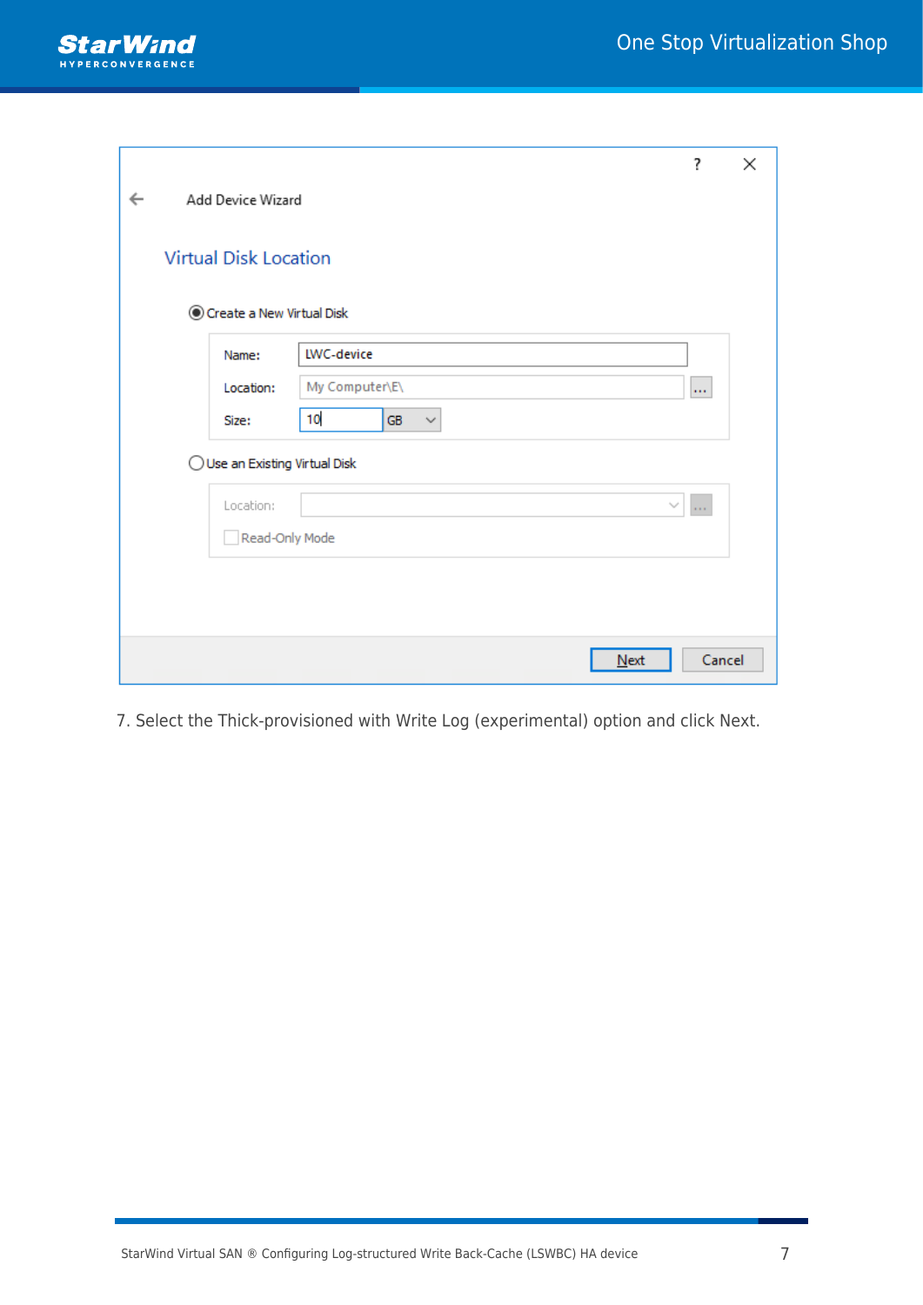

|              |                                |                          | ?        | × |
|--------------|--------------------------------|--------------------------|----------|---|
| $\leftarrow$ | Add Device Wizard              |                          |          |   |
|              | <b>Virtual Disk Location</b>   |                          |          |   |
|              | Create a New Virtual Disk      |                          |          |   |
|              | Name:                          | LWC-device               |          |   |
|              | Location:                      | My Computer\E\           | m.       |   |
|              | Size:                          | 10<br>GB<br>$\checkmark$ |          |   |
|              | ◯ Use an Existing Virtual Disk |                          |          |   |
|              | Location:                      | $\sim$                   | $\sim$ . |   |
|              | Read-Only Mode                 |                          |          |   |
|              |                                |                          |          |   |
|              |                                |                          |          |   |
|              |                                | Next                     | Cancel   |   |

7. Select the Thick-provisioned with Write Log (experimental) option and click Next.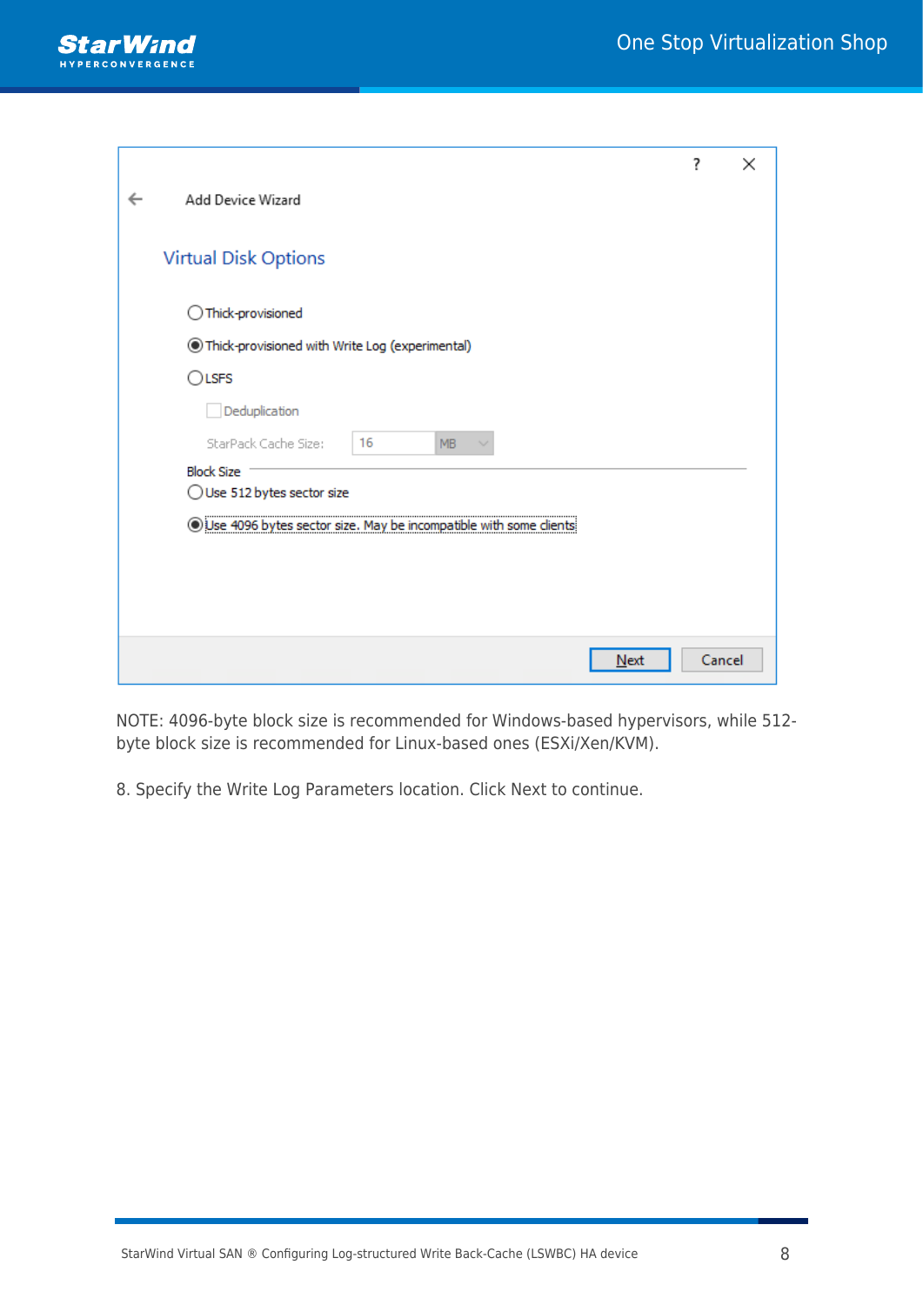

|                                                                    | 7      | × |
|--------------------------------------------------------------------|--------|---|
| Add Device Wizard                                                  |        |   |
|                                                                    |        |   |
| <b>Virtual Disk Options</b>                                        |        |   |
| Thick-provisioned                                                  |        |   |
| Thick-provisioned with Write Log (experimental)                    |        |   |
| $\bigcirc$ LSFS                                                    |        |   |
| Deduplication                                                      |        |   |
| StarPack Cache Size:<br>16<br><b>MB</b>                            |        |   |
| <b>Block Size</b><br>$\bigcirc$ Use 512 bytes sector size          |        |   |
| Use 4096 bytes sector size. May be incompatible with some clients: |        |   |
|                                                                    |        |   |
|                                                                    |        |   |
|                                                                    |        |   |
| Next                                                               | Cancel |   |

NOTE: 4096-byte block size is recommended for Windows-based hypervisors, while 512 byte block size is recommended for Linux-based ones (ESXi/Xen/KVM).

8. Specify the Write Log Parameters location. Click Next to continue.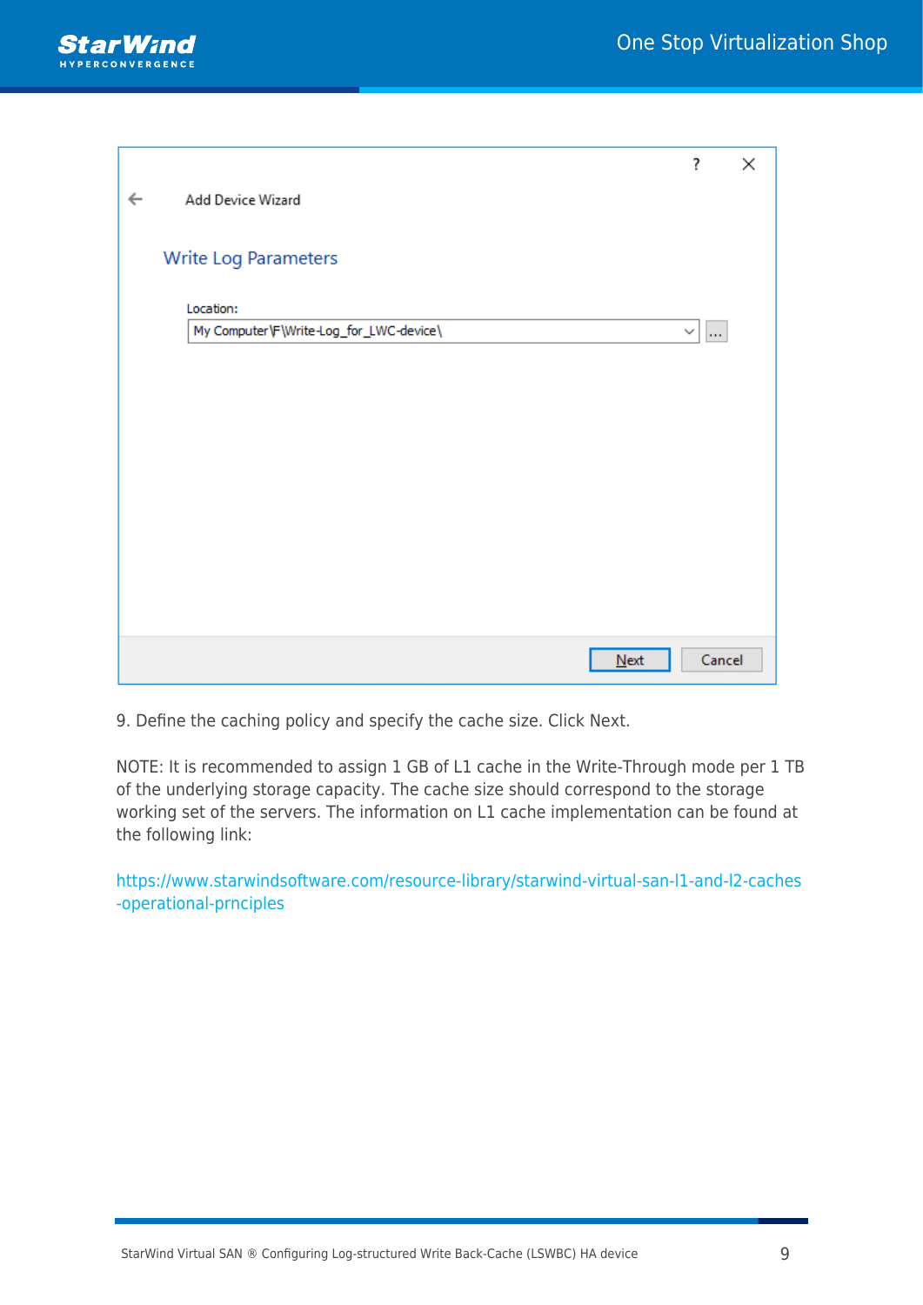

|              |                                         | ?                        | × |
|--------------|-----------------------------------------|--------------------------|---|
| $\leftarrow$ | Add Device Wizard                       |                          |   |
|              |                                         |                          |   |
|              | Write Log Parameters                    |                          |   |
|              | Location:                               |                          |   |
|              | My Computer\F\Write-Log_for_LWC-device\ | $\checkmark$<br>$\ldots$ |   |
|              |                                         |                          |   |
|              |                                         |                          |   |
|              |                                         |                          |   |
|              |                                         |                          |   |
|              |                                         |                          |   |
|              |                                         |                          |   |
|              |                                         |                          |   |
|              |                                         |                          |   |
|              |                                         |                          |   |
|              | Next                                    | Cancel                   |   |

9. Define the caching policy and specify the cache size. Click Next.

NOTE: It is recommended to assign 1 GB of L1 cache in the Write-Through mode per 1 TB of the underlying storage capacity. The cache size should correspond to the storage working set of the servers. The information on L1 cache implementation can be found at the following link:

[https://www.starwindsoftware.com/resource-library/starwind-virtual-san-l1-and-l2-caches](https://knowledgebase.starwindsoftware.com/explanation/starwind-virtual-san-l1-and-l2-caches-operational-principles/) [-operational-prnciples](https://knowledgebase.starwindsoftware.com/explanation/starwind-virtual-san-l1-and-l2-caches-operational-principles/)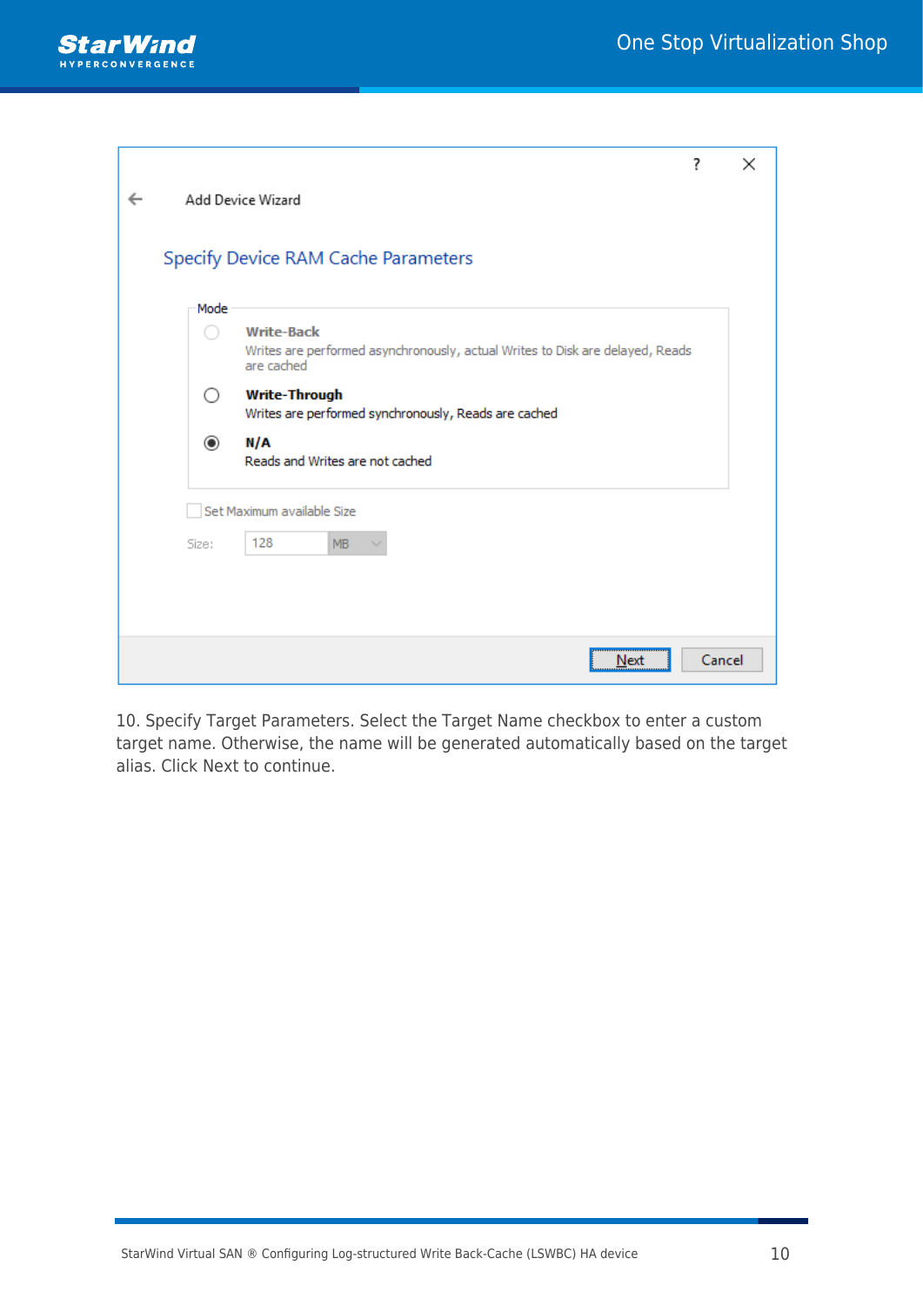

|           | ?                                                                                                                | $\times$ |
|-----------|------------------------------------------------------------------------------------------------------------------|----------|
|           | Add Device Wizard                                                                                                |          |
|           | Specify Device RAM Cache Parameters                                                                              |          |
| Mode      |                                                                                                                  |          |
|           | <b>Write-Back</b><br>Writes are performed asynchronously, actual Writes to Disk are delayed, Reads<br>are cached |          |
| ( )       | <b>Write-Through</b><br>Writes are performed synchronously, Reads are cached                                     |          |
| $\bullet$ | N/A<br>Reads and Writes are not cached                                                                           |          |
|           | Set Maximum available Size                                                                                       |          |
| Size:     | 128<br>MB                                                                                                        |          |
|           |                                                                                                                  |          |
|           | Next                                                                                                             | Cancel   |

10. Specify Target Parameters. Select the Target Name checkbox to enter a custom target name. Otherwise, the name will be generated automatically based on the target alias. Click Next to continue.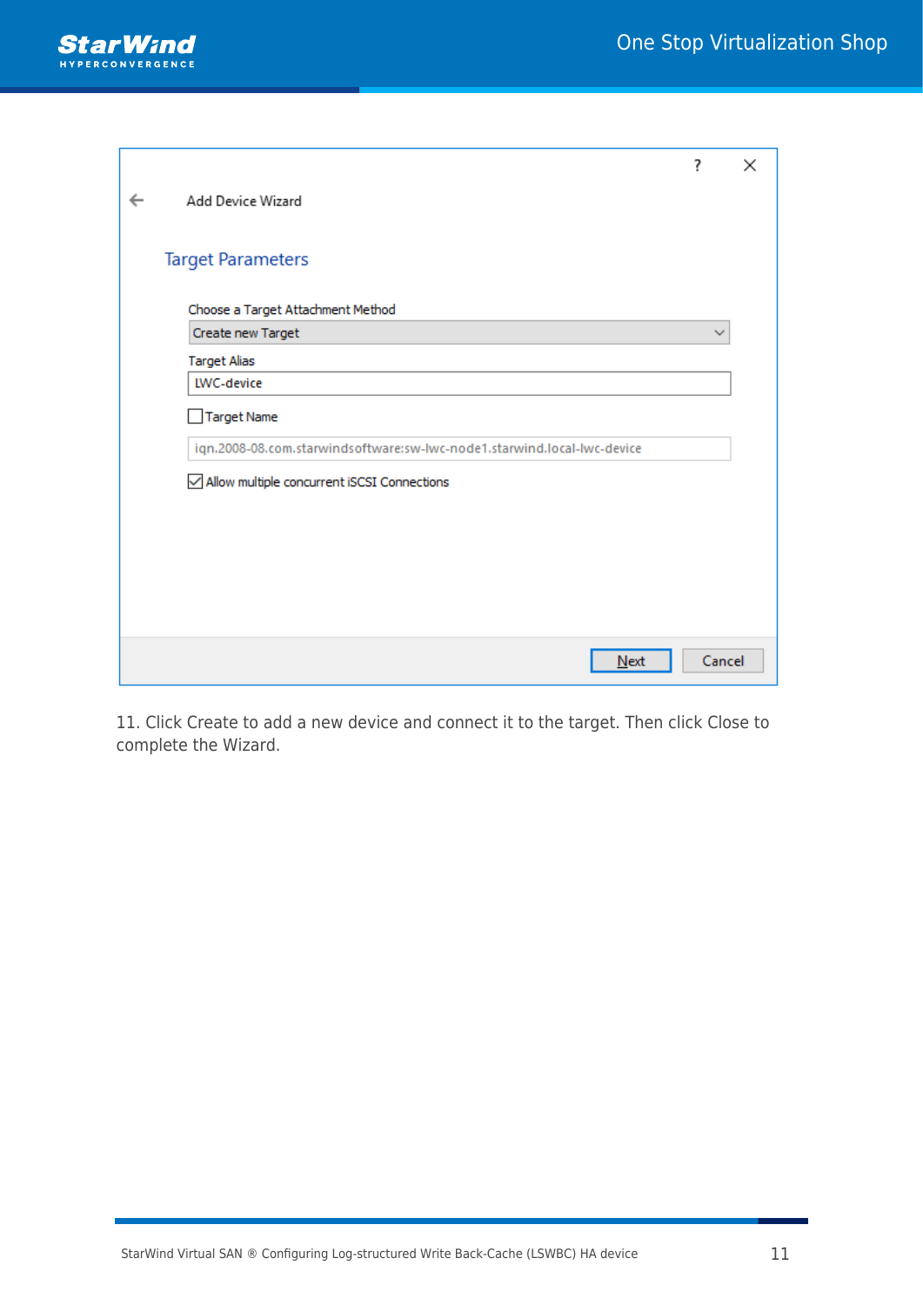

|                                                                         | ?      | $\times$ |
|-------------------------------------------------------------------------|--------|----------|
| Add Device Wizard                                                       |        |          |
|                                                                         |        |          |
| <b>Target Parameters</b>                                                |        |          |
| Choose a Target Attachment Method                                       |        |          |
| Create new Target                                                       |        |          |
| <b>Target Alias</b>                                                     |        |          |
| LWC-device                                                              |        |          |
| Target Name                                                             |        |          |
| iqn.2008-08.com.starwindsoftware:sw-lwc-node1.starwind.local-lwc-device |        |          |
| Allow multiple concurrent iSCSI Connections                             |        |          |
|                                                                         |        |          |
|                                                                         |        |          |
|                                                                         |        |          |
|                                                                         |        |          |
|                                                                         |        |          |
|                                                                         |        |          |
| Next                                                                    | Cancel |          |

11. Click Create to add a new device and connect it to the target. Then click Close to complete the Wizard.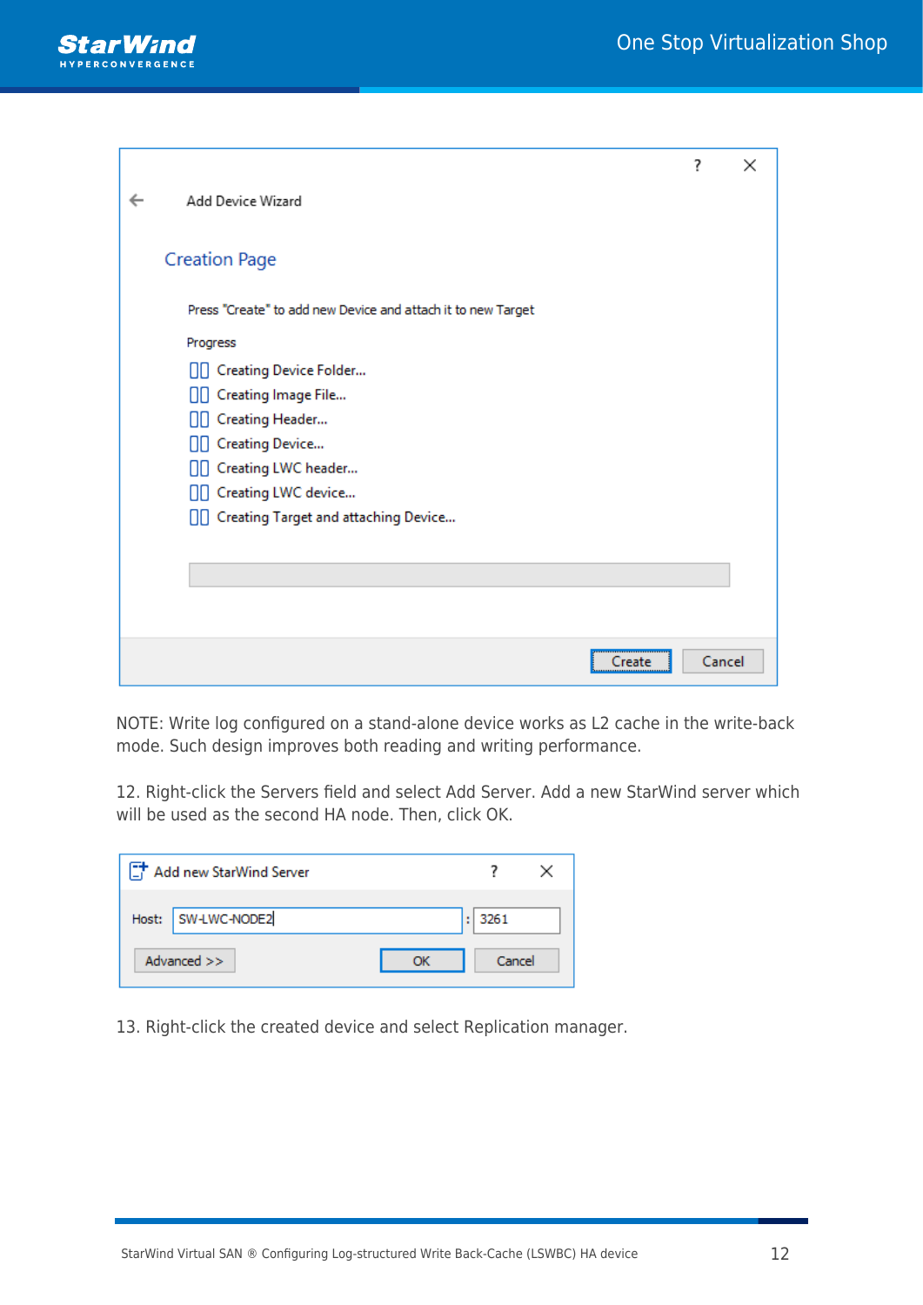

|                                                              | ?      | $\times$ |
|--------------------------------------------------------------|--------|----------|
| Add Device Wizard                                            |        |          |
|                                                              |        |          |
| <b>Creation Page</b>                                         |        |          |
| Press "Create" to add new Device and attach it to new Target |        |          |
| Progress                                                     |        |          |
| <b>OD</b> Creating Device Folder                             |        |          |
| [][ Creating Image File                                      |        |          |
| <b>OD</b> Creating Header                                    |        |          |
| <b>OD</b> Creating Device                                    |        |          |
| □□ Creating LWC header                                       |        |          |
| □□ Creating LWC device                                       |        |          |
| [Creating Target and attaching Device                        |        |          |
|                                                              |        |          |
|                                                              |        |          |
|                                                              |        |          |
|                                                              |        |          |
| Create                                                       | Cancel |          |

NOTE: Write log configured on a stand-alone device works as L2 cache in the write-back mode. Such design improves both reading and writing performance.

12. Right-click the Servers field and select Add Server. Add a new StarWind server which will be used as the second HA node. Then, click OK.

| Add new StarWind Server |        |  |
|-------------------------|--------|--|
| Host: SW-LWC-NODE2      | : 3261 |  |
| Advanced $>>$           | Cancel |  |

13. Right-click the created device and select Replication manager.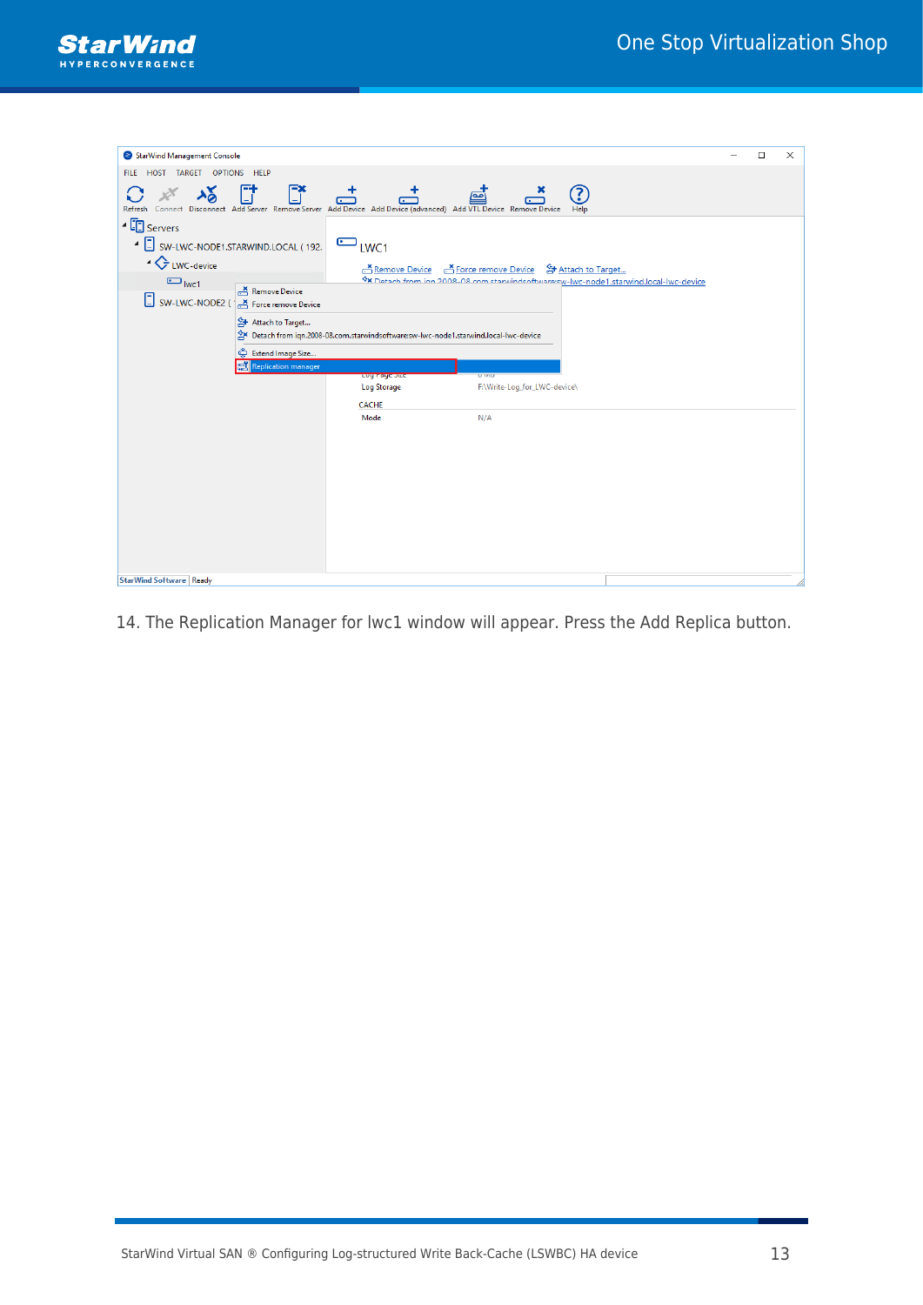

| StarWind Management Console                                                                                                                                                          |                                                                                     |                                                                                                                                                  | $\Box$ | $\times$ |
|--------------------------------------------------------------------------------------------------------------------------------------------------------------------------------------|-------------------------------------------------------------------------------------|--------------------------------------------------------------------------------------------------------------------------------------------------|--------|----------|
| HOST TARGET OPTIONS HELP<br><b>FILE</b>                                                                                                                                              |                                                                                     |                                                                                                                                                  |        |          |
|                                                                                                                                                                                      |                                                                                     |                                                                                                                                                  |        |          |
| $\begin{bmatrix} -1 \\ -1 \end{bmatrix}$<br>Ē.<br>$\frac{1}{2}$<br>Refresh Connect Disconnect Add Server Remove Server Add Device Add Device (advanced) Add VTL Device Remove Device | ൎ                                                                                   | 3<br>ஞ்                                                                                                                                          |        |          |
| ▲ ED Servers                                                                                                                                                                         |                                                                                     |                                                                                                                                                  |        |          |
| 4 SW-LWC-NODE1.STARWIND.LOCAL (192.                                                                                                                                                  | $\bigcirc$ <sub>LWC1</sub>                                                          |                                                                                                                                                  |        |          |
| ▲ LWC-device                                                                                                                                                                         |                                                                                     |                                                                                                                                                  |        |          |
| $\bigcirc$ <sub>lwc1</sub>                                                                                                                                                           |                                                                                     | Remove Device A Force remove Device & Attach to Target<br>Cx Detach from ion 2008-08 com stanvindsoftware sy-lwc-node1.starwind.local-lwc-device |        |          |
| $\sum_{r=1}^{x}$ Remove Device                                                                                                                                                       |                                                                                     |                                                                                                                                                  |        |          |
| SW-LWC-NODE2 ( Force remove Device                                                                                                                                                   |                                                                                     |                                                                                                                                                  |        |          |
| 음+ Attach to Target                                                                                                                                                                  |                                                                                     |                                                                                                                                                  |        |          |
|                                                                                                                                                                                      | Detach from iqn.2008-08.com.starwindsoftware:sw-lwc-node1.starwind.local-lwc-device |                                                                                                                                                  |        |          |
| င့် Extend Image Size                                                                                                                                                                |                                                                                     |                                                                                                                                                  |        |          |
| Replication manager                                                                                                                                                                  |                                                                                     | <b>U</b> IVID                                                                                                                                    |        |          |
|                                                                                                                                                                                      | Luy naye Jize<br><b>Log Storage</b>                                                 | F:\Write-Log_for_LWC-device\                                                                                                                     |        |          |
|                                                                                                                                                                                      | <b>CACHE</b>                                                                        |                                                                                                                                                  |        |          |
|                                                                                                                                                                                      | Mode                                                                                | N/A                                                                                                                                              |        |          |
|                                                                                                                                                                                      |                                                                                     |                                                                                                                                                  |        |          |
|                                                                                                                                                                                      |                                                                                     |                                                                                                                                                  |        |          |
|                                                                                                                                                                                      |                                                                                     |                                                                                                                                                  |        |          |
|                                                                                                                                                                                      |                                                                                     |                                                                                                                                                  |        |          |
|                                                                                                                                                                                      |                                                                                     |                                                                                                                                                  |        |          |
|                                                                                                                                                                                      |                                                                                     |                                                                                                                                                  |        |          |
|                                                                                                                                                                                      |                                                                                     |                                                                                                                                                  |        |          |
|                                                                                                                                                                                      |                                                                                     |                                                                                                                                                  |        |          |
|                                                                                                                                                                                      |                                                                                     |                                                                                                                                                  |        |          |
|                                                                                                                                                                                      |                                                                                     |                                                                                                                                                  |        |          |
| StarWind Software Ready                                                                                                                                                              |                                                                                     |                                                                                                                                                  |        |          |

14. The Replication Manager for lwc1 window will appear. Press the Add Replica button.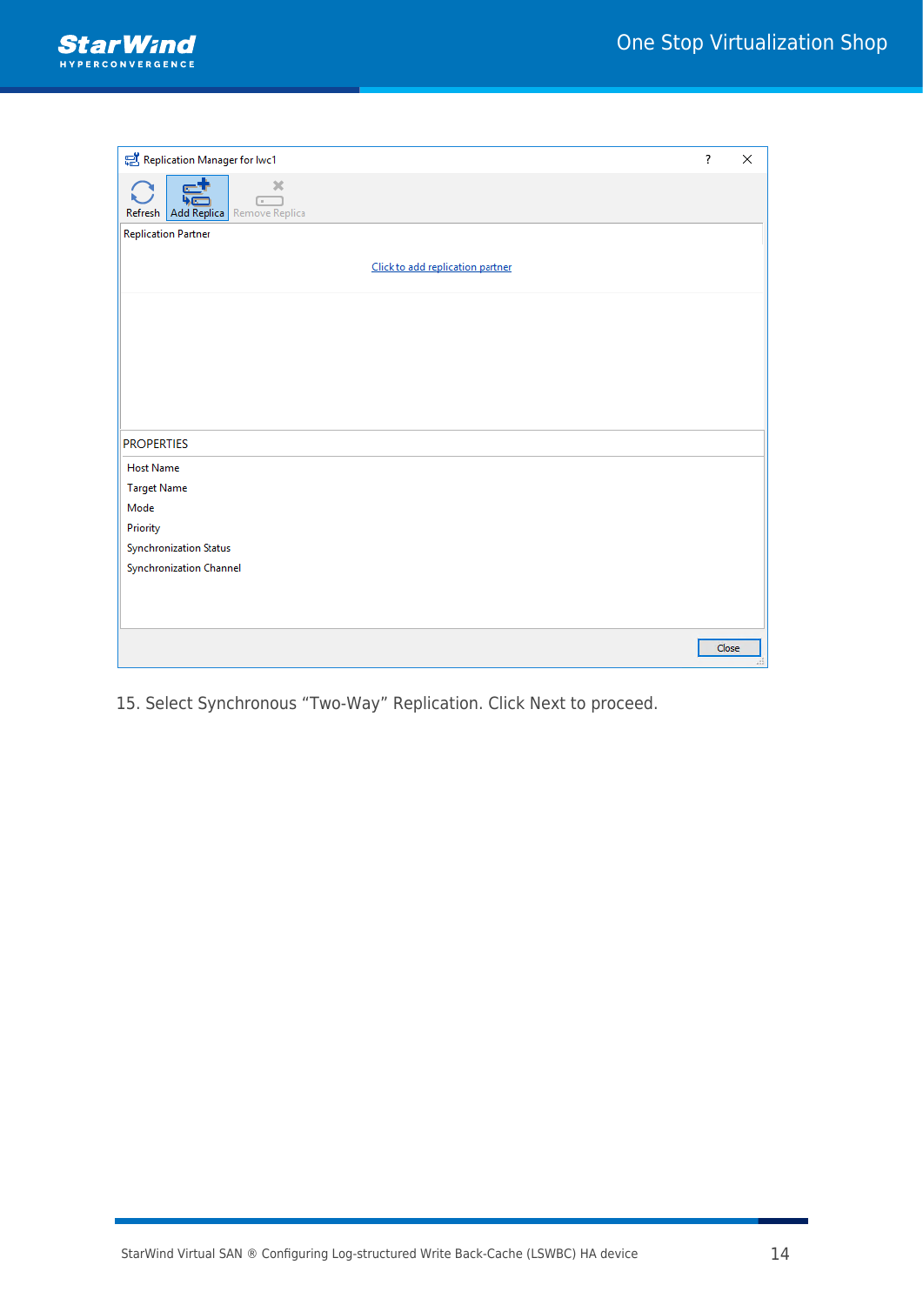

| Replication Manager for Iwc1                                     | $\overline{\cdot}$ | X |
|------------------------------------------------------------------|--------------------|---|
| $30$<br>$\overline{a}$<br>Refresh   Add Replica   Remove Replica |                    |   |
| <b>Replication Partner</b>                                       |                    |   |
| Click to add replication partner                                 |                    |   |
|                                                                  |                    |   |
|                                                                  |                    |   |
|                                                                  |                    |   |
|                                                                  |                    |   |
| <b>PROPERTIES</b>                                                |                    |   |
| <b>Host Name</b>                                                 |                    |   |
| <b>Target Name</b>                                               |                    |   |
| Mode                                                             |                    |   |
| Priority                                                         |                    |   |
| <b>Synchronization Status</b>                                    |                    |   |
| Synchronization Channel                                          |                    |   |
|                                                                  |                    |   |
|                                                                  |                    |   |
|                                                                  | Close              |   |

15. Select Synchronous "Two-Way" Replication. Click Next to proceed.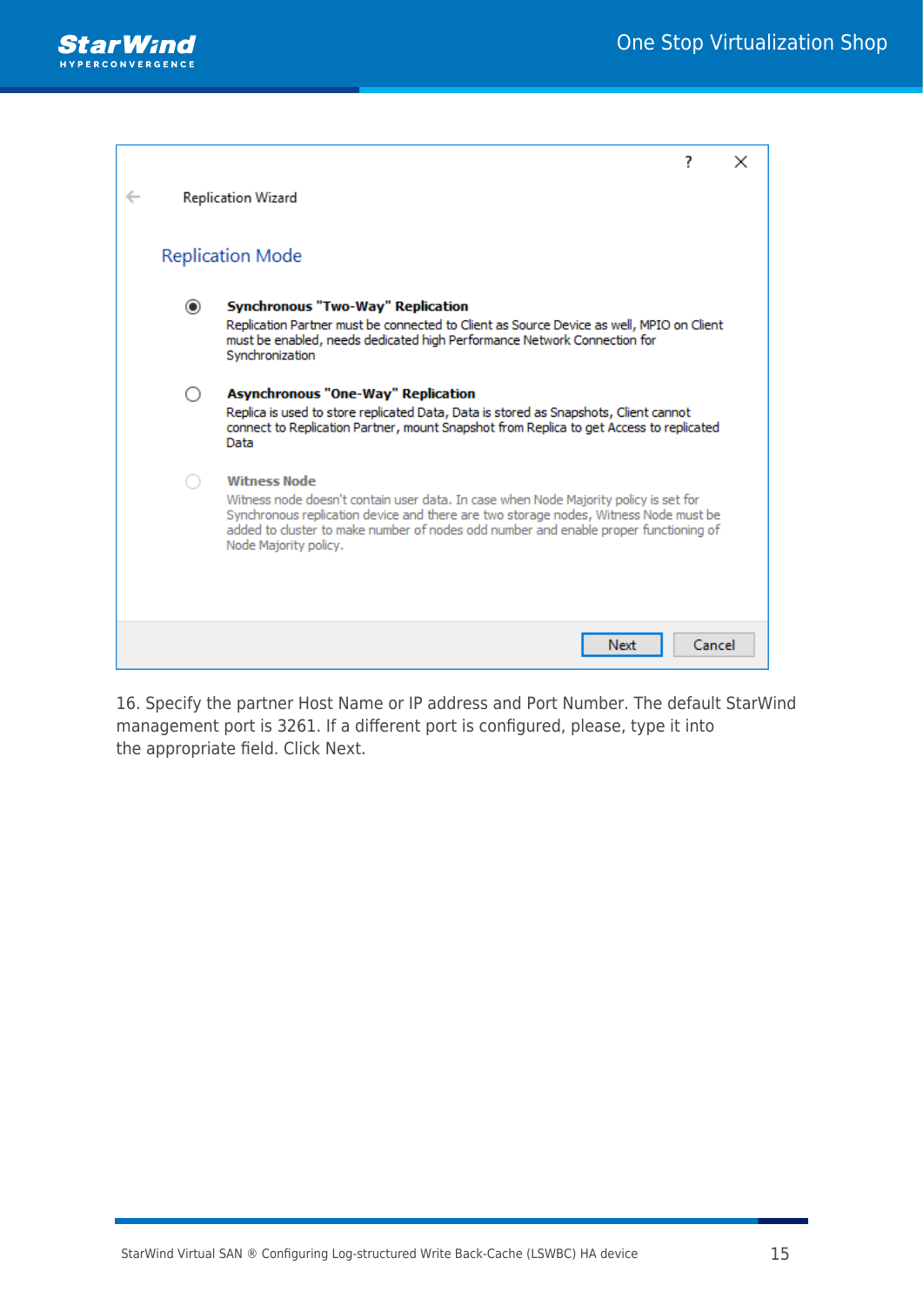

|         |                                                                                                                                                                                                                                                                                                                      | 7      | × |
|---------|----------------------------------------------------------------------------------------------------------------------------------------------------------------------------------------------------------------------------------------------------------------------------------------------------------------------|--------|---|
|         | Replication Wizard                                                                                                                                                                                                                                                                                                   |        |   |
|         | <b>Replication Mode</b>                                                                                                                                                                                                                                                                                              |        |   |
| $\odot$ | <b>Synchronous "Two-Way" Replication</b><br>Replication Partner must be connected to Client as Source Device as well, MPIO on Client<br>must be enabled, needs dedicated high Performance Network Connection for<br>Synchronization                                                                                  |        |   |
|         | <b>Asynchronous "One-Way" Replication</b><br>Replica is used to store replicated Data, Data is stored as Snapshots, Client cannot<br>connect to Replication Partner, mount Snapshot from Replica to get Access to replicated<br>Data                                                                                 |        |   |
|         | <b>Witness Node</b><br>Witness node doesn't contain user data. In case when Node Majority policy is set for<br>Synchronous replication device and there are two storage nodes, Witness Node must be<br>added to cluster to make number of nodes odd number and enable proper functioning of<br>Node Majority policy. |        |   |
|         | Next                                                                                                                                                                                                                                                                                                                 | Cancel |   |

16. Specify the partner Host Name or IP address and Port Number. The default StarWind management port is 3261. If a different port is configured, please, type it into the appropriate field. Click Next.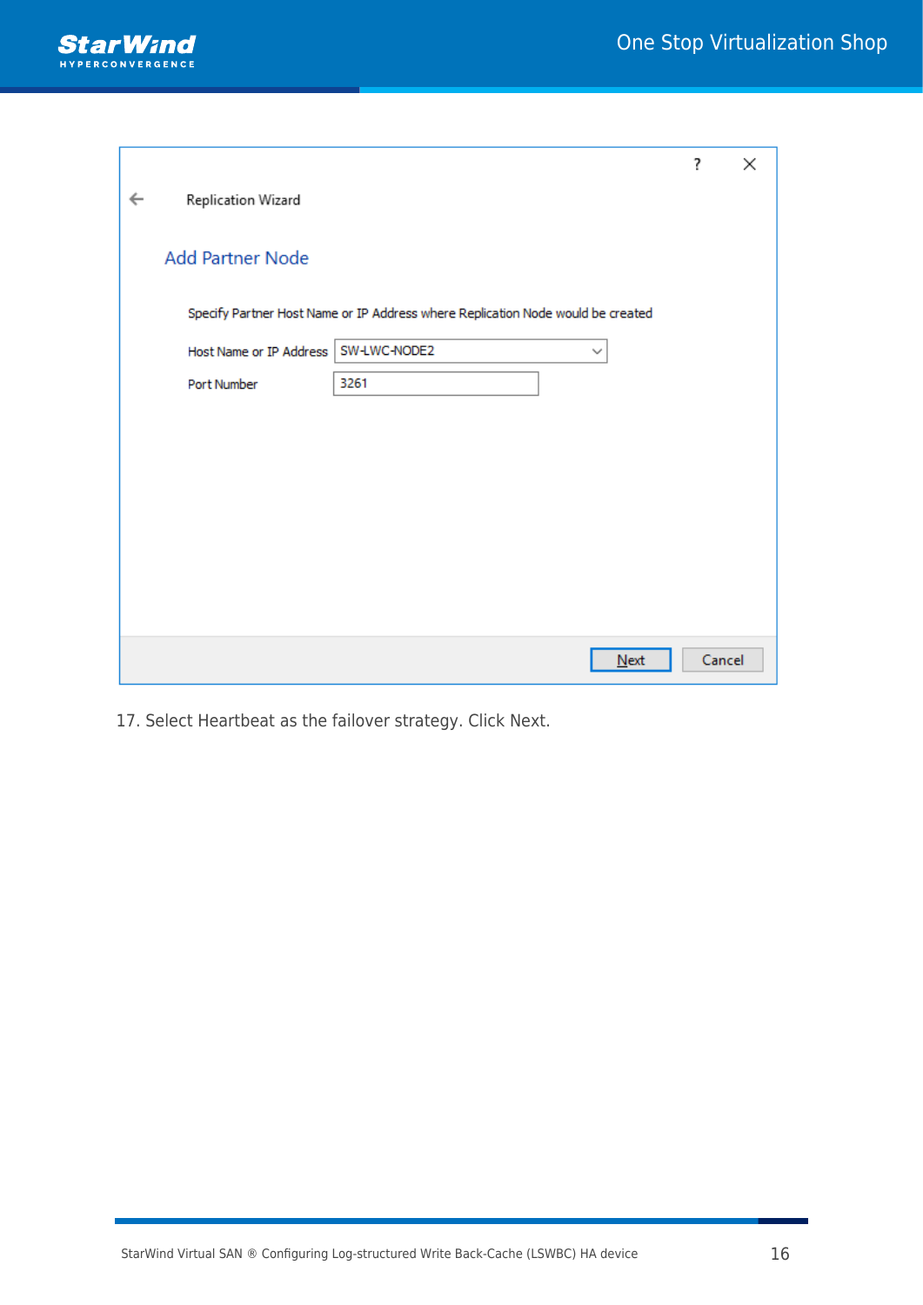

|                                                                                 | ? | ×      |
|---------------------------------------------------------------------------------|---|--------|
| Replication Wizard<br>$\leftarrow$                                              |   |        |
|                                                                                 |   |        |
| <b>Add Partner Node</b>                                                         |   |        |
| Specify Partner Host Name or IP Address where Replication Node would be created |   |        |
| SW-LWC-NODE2<br>Host Name or IP Address<br>$\checkmark$                         |   |        |
| 3261<br>Port Number                                                             |   |        |
|                                                                                 |   |        |
|                                                                                 |   |        |
|                                                                                 |   |        |
|                                                                                 |   |        |
|                                                                                 |   |        |
|                                                                                 |   |        |
|                                                                                 |   |        |
| $N$ ext                                                                         |   | Cancel |

17. Select Heartbeat as the failover strategy. Click Next.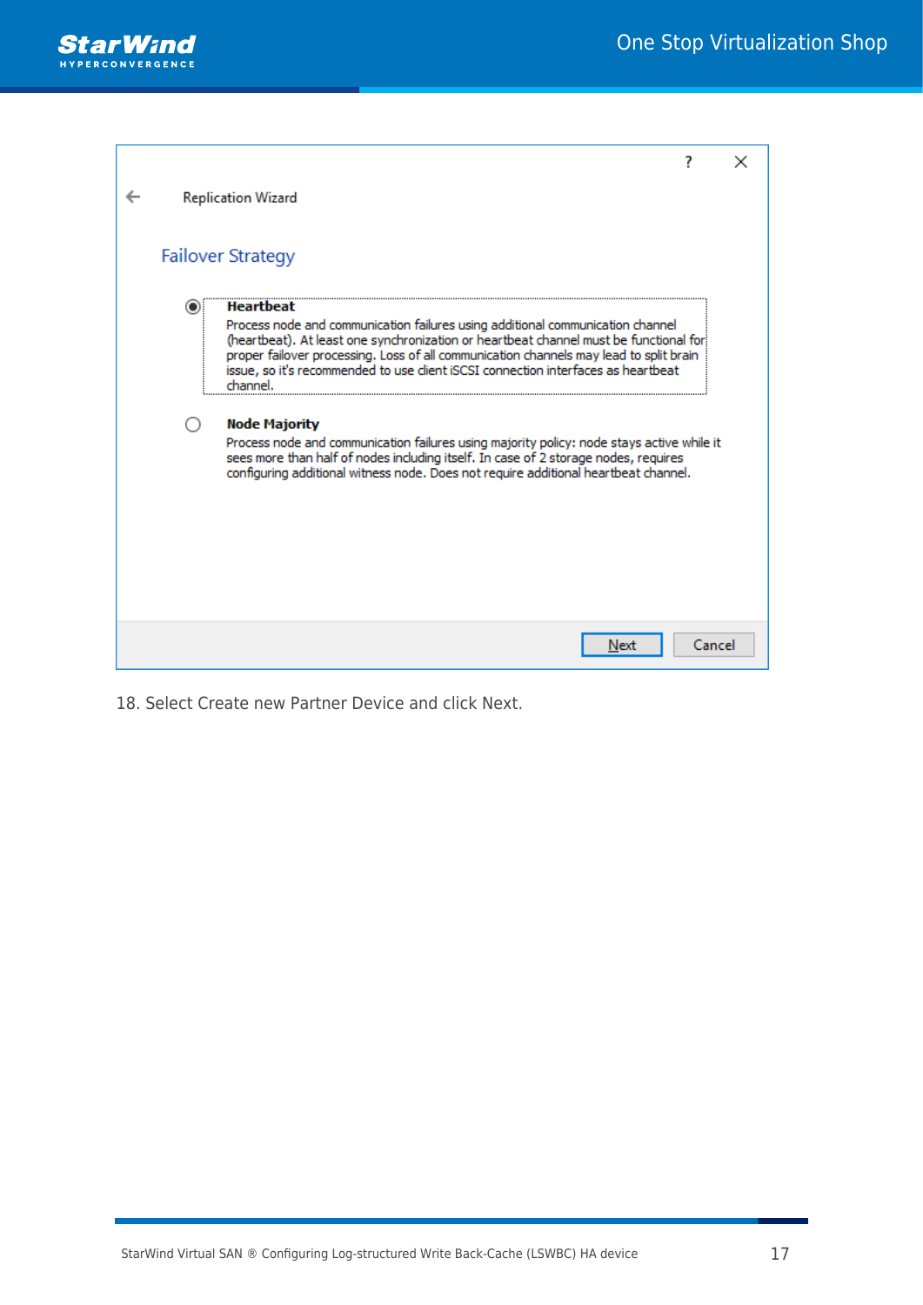

| Replication Wizard                                   |                                                                                                                                                                                                                                                                                                                                                                                                                                                                                                                                                                                                                                   |        |  |
|------------------------------------------------------|-----------------------------------------------------------------------------------------------------------------------------------------------------------------------------------------------------------------------------------------------------------------------------------------------------------------------------------------------------------------------------------------------------------------------------------------------------------------------------------------------------------------------------------------------------------------------------------------------------------------------------------|--------|--|
| <b>Failover Strategy</b>                             |                                                                                                                                                                                                                                                                                                                                                                                                                                                                                                                                                                                                                                   |        |  |
| <b>Heartbeat</b><br>channel.<br><b>Node Majority</b> | Process node and communication failures using additional communication channel<br>(heartbeat). At least one synchronization or heartbeat channel must be functional for<br>proper failover processing. Loss of all communication channels may lead to split brain<br>issue, so it's recommended to use client iSCSI connection interfaces as heartbeat<br>Process node and communication failures using majority policy: node stays active while it<br>sees more than half of nodes including itself. In case of 2 storage nodes, requires<br>configuring additional witness node. Does not require additional heartbeat channel. |        |  |
|                                                      | Next                                                                                                                                                                                                                                                                                                                                                                                                                                                                                                                                                                                                                              | Cancel |  |

18. Select Create new Partner Device and click Next.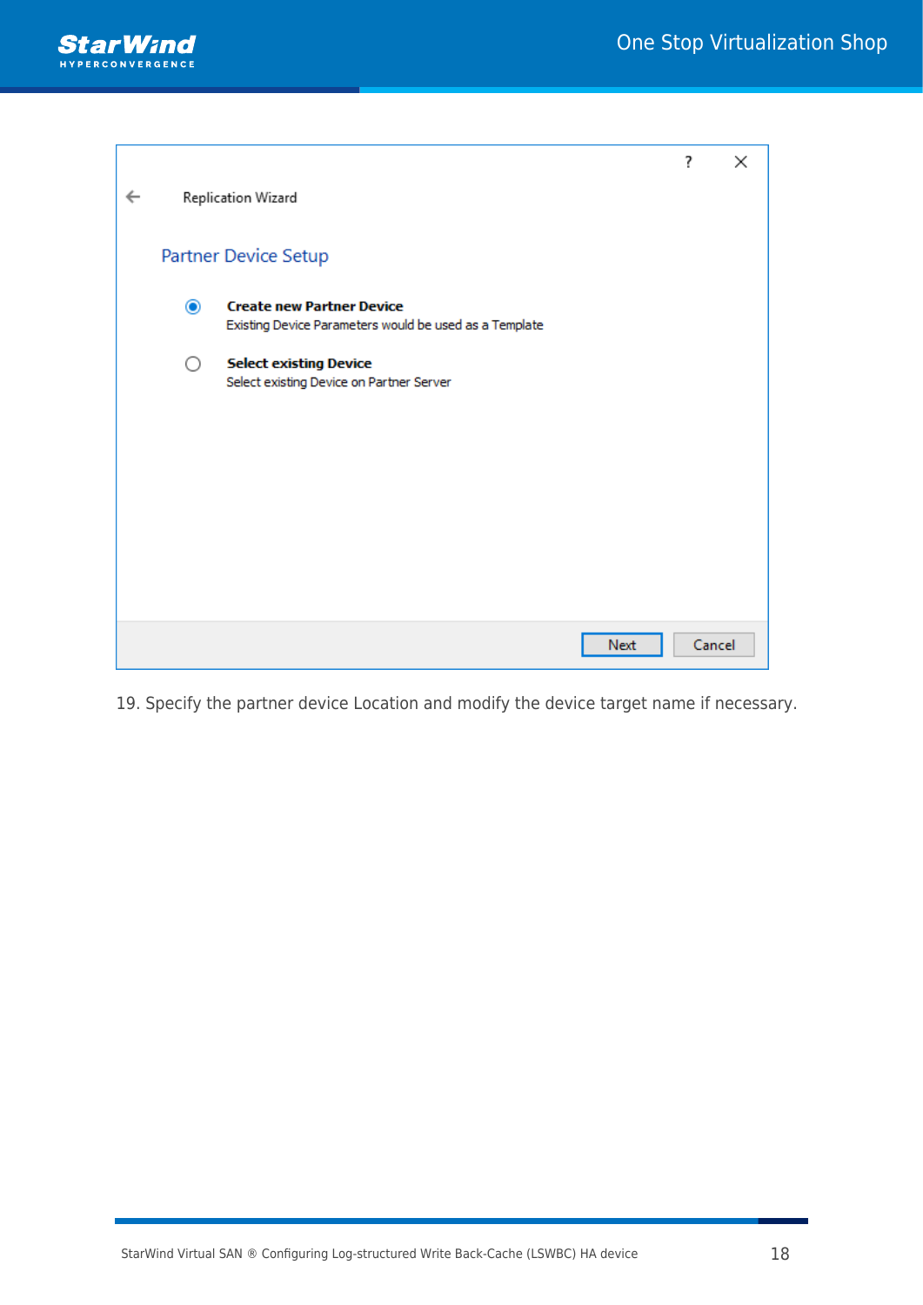

|   |           |                                                                                            | ?      | $\times$ |
|---|-----------|--------------------------------------------------------------------------------------------|--------|----------|
| ← |           | Replication Wizard                                                                         |        |          |
|   |           | Partner Device Setup                                                                       |        |          |
|   | $\bullet$ | <b>Create new Partner Device</b><br>Existing Device Parameters would be used as a Template |        |          |
|   | ○         | <b>Select existing Device</b><br>Select existing Device on Partner Server                  |        |          |
|   |           |                                                                                            |        |          |
|   |           |                                                                                            |        |          |
|   |           |                                                                                            |        |          |
|   |           |                                                                                            |        |          |
|   |           | Next                                                                                       | Cancel |          |

19. Specify the partner device Location and modify the device target name if necessary.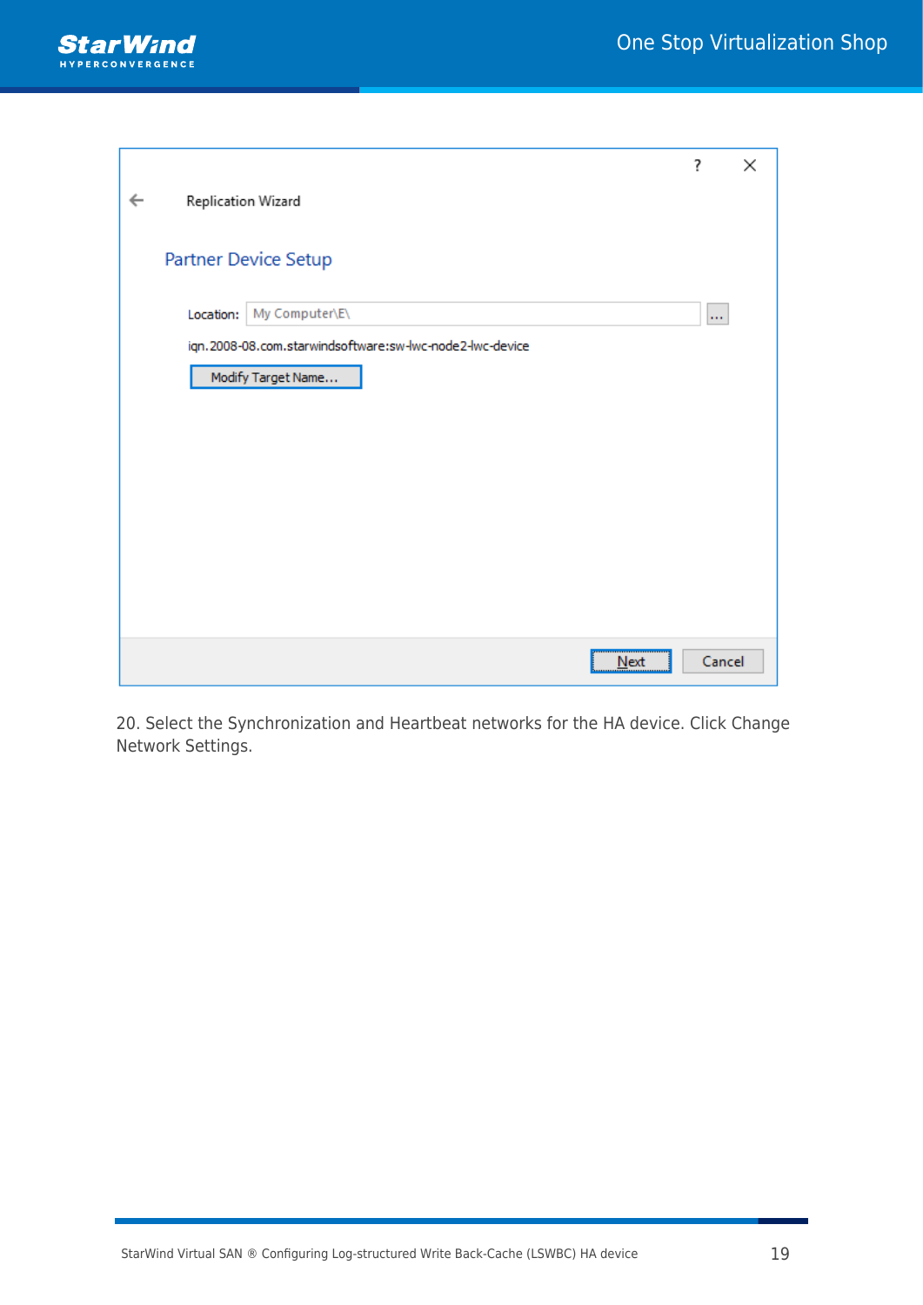

|   |                    |                                                          | ?        | × |
|---|--------------------|----------------------------------------------------------|----------|---|
| ← | Replication Wizard |                                                          |          |   |
|   |                    | Partner Device Setup                                     |          |   |
|   | Location:          | My Computer\E\                                           | $\cdots$ |   |
|   |                    | iqn.2008-08.com.starwindsoftware:sw-lwc-node2-lwc-device |          |   |
|   |                    | Modify Target Name                                       |          |   |
|   |                    |                                                          |          |   |
|   |                    |                                                          |          |   |
|   |                    |                                                          |          |   |
|   |                    |                                                          |          |   |
|   |                    |                                                          |          |   |
|   |                    |                                                          |          |   |
|   |                    |                                                          |          |   |
|   |                    | $N$ ext                                                  | Cancel   |   |

20. Select the Synchronization and Heartbeat networks for the HA device. Click Change Network Settings.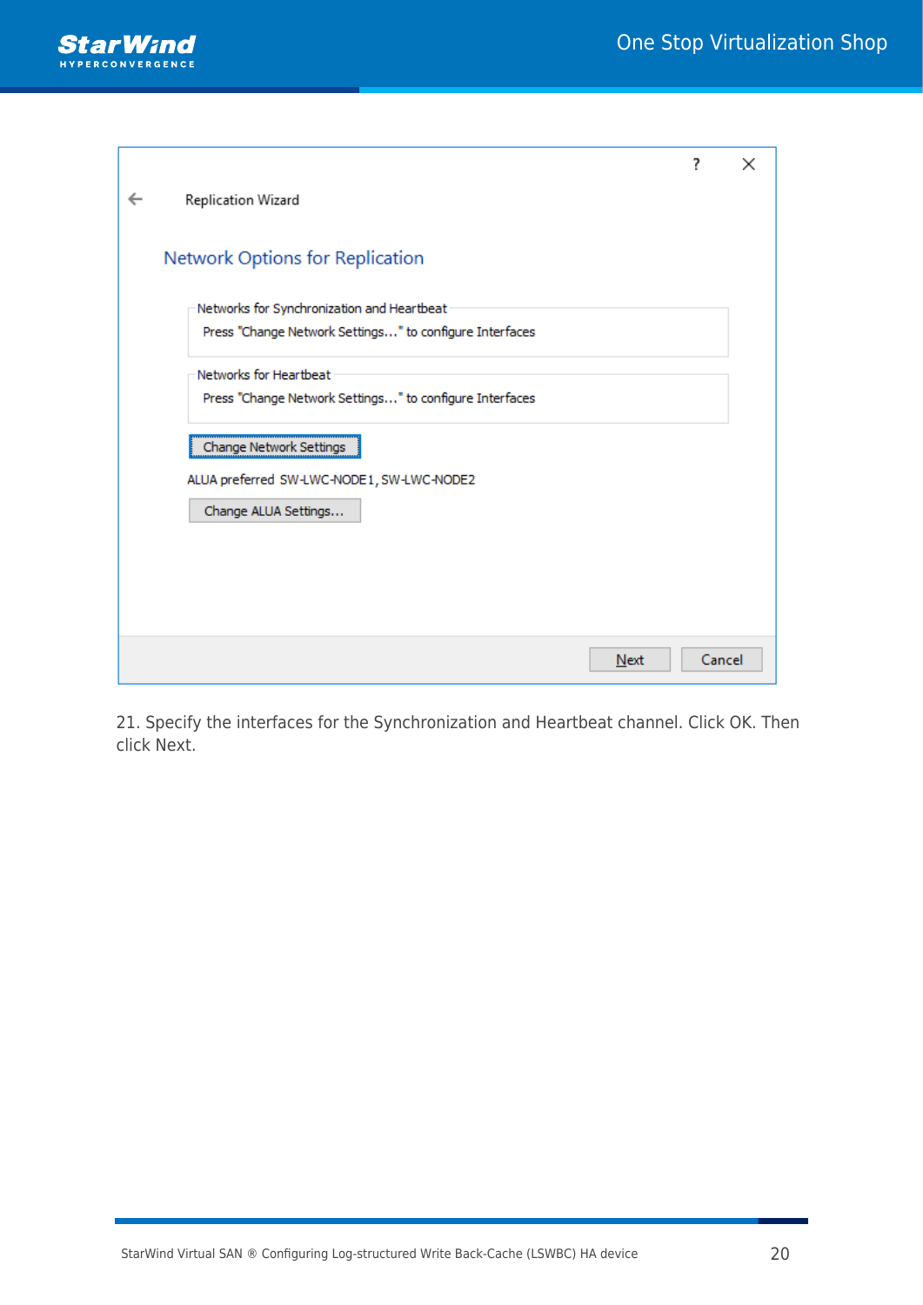

|                                                         | ? | ×      |
|---------------------------------------------------------|---|--------|
| Replication Wizard                                      |   |        |
|                                                         |   |        |
| Network Options for Replication                         |   |        |
| Networks for Synchronization and Heartbeat              |   |        |
| Press "Change Network Settings" to configure Interfaces |   |        |
| Networks for Heartbeat                                  |   |        |
| Press "Change Network Settings" to configure Interfaces |   |        |
| Change Network Settings                                 |   |        |
| ALUA preferred SW-LWC-NODE1, SW-LWC-NODE2               |   |        |
| Change ALUA Settings                                    |   |        |
|                                                         |   |        |
|                                                         |   |        |
|                                                         |   |        |
| Next                                                    |   | Cancel |

21. Specify the interfaces for the Synchronization and Heartbeat channel. Click OK. Then click Next.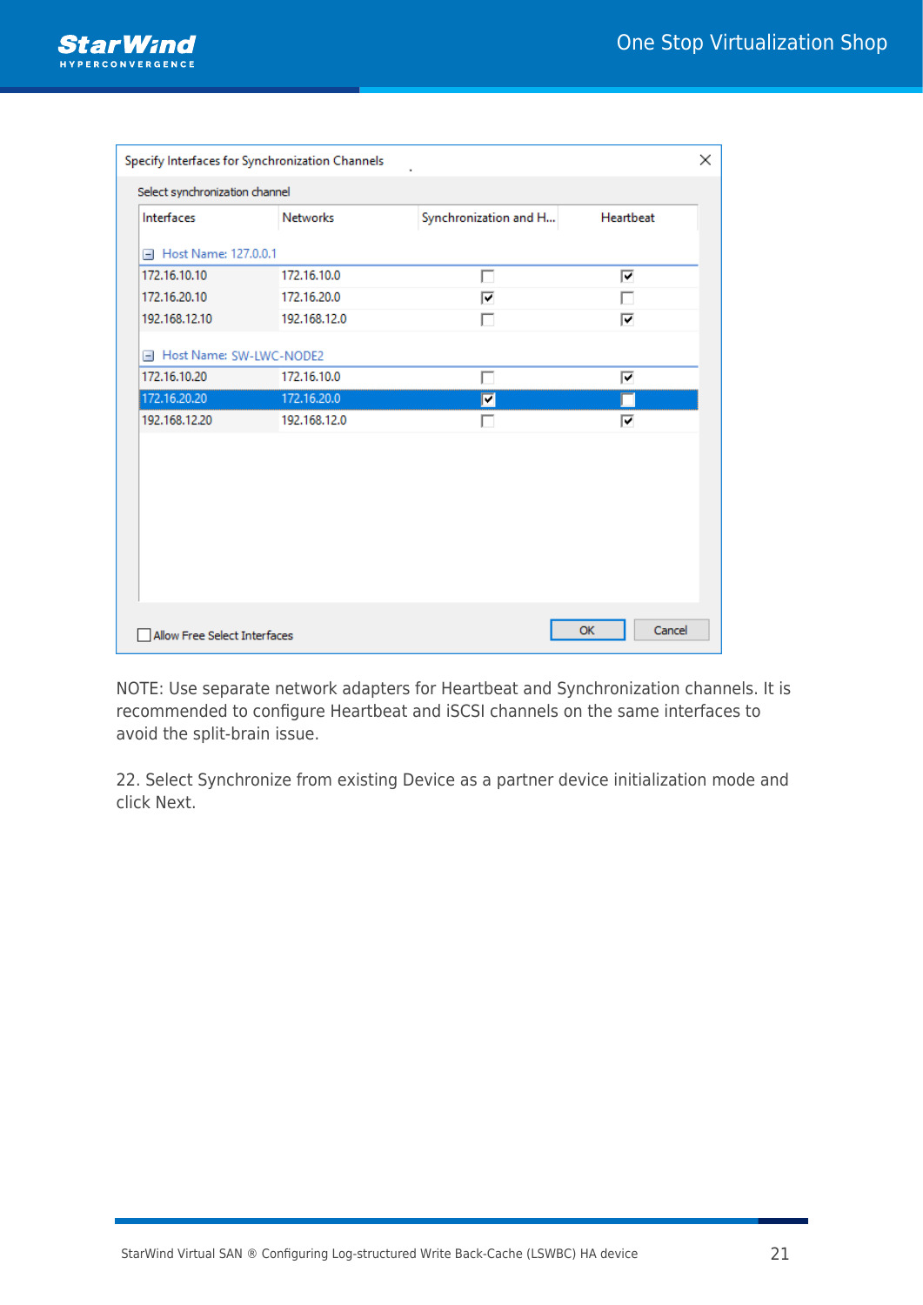

| Specify Interfaces for Synchronization Channels<br>× |                 |                       |           |  |  |
|------------------------------------------------------|-----------------|-----------------------|-----------|--|--|
| Select synchronization channel                       |                 |                       |           |  |  |
| Interfaces                                           | <b>Networks</b> | Synchronization and H | Heartbeat |  |  |
| Host Name: 127.0.0.1<br>$-$                          |                 |                       |           |  |  |
| 172.16.10.10                                         | 172.16.10.0     |                       | ⊽         |  |  |
| 172.16.20.10                                         | 172.16.20.0     | ⊽                     | П         |  |  |
| 192.168.12.10                                        | 192.168.12.0    |                       | ⊽         |  |  |
| Host Name: SW-LWC-NODE2<br>$-1$                      |                 |                       |           |  |  |
| 172, 16, 10, 20                                      | 172.16.10.0     | П                     | ⊽         |  |  |
| 172.16.20.20                                         | 172.16.20.0     | $\blacksquare$        |           |  |  |
| 192.168.12.20                                        | 192.168.12.0    |                       | ⊽         |  |  |
|                                                      |                 |                       |           |  |  |
|                                                      |                 |                       |           |  |  |
|                                                      |                 |                       |           |  |  |
|                                                      |                 |                       |           |  |  |
|                                                      |                 |                       |           |  |  |
|                                                      |                 |                       |           |  |  |
|                                                      |                 |                       |           |  |  |
|                                                      |                 |                       |           |  |  |
| Cancel<br>OK<br>Allow Free Select Interfaces         |                 |                       |           |  |  |

NOTE: Use separate network adapters for Heartbeat and Synchronization channels. It is recommended to configure Heartbeat and iSCSI channels on the same interfaces to avoid the split-brain issue.

22. Select Synchronize from existing Device as a partner device initialization mode and click Next.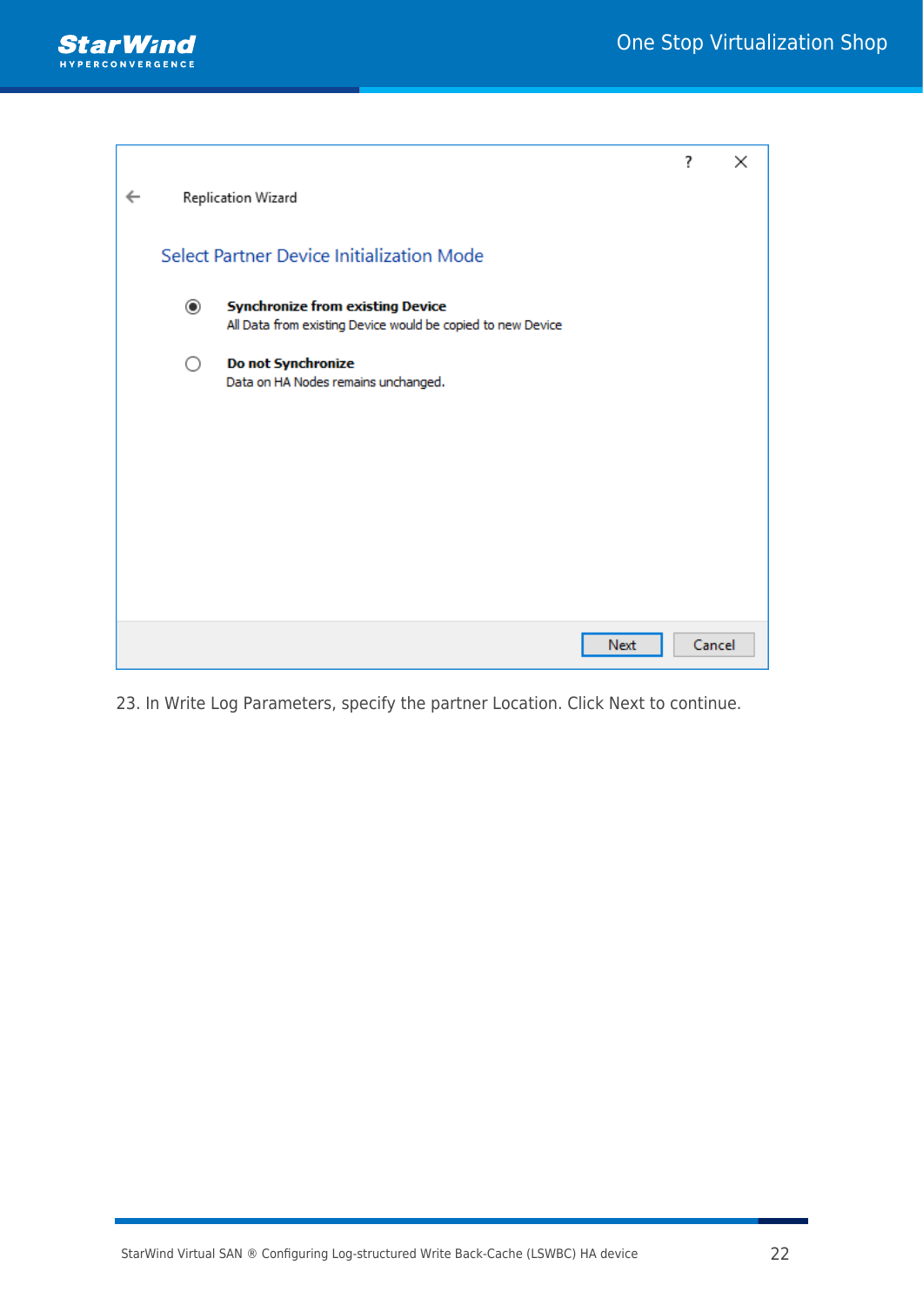

|   |         |                                                                                                        | ? | ×      |
|---|---------|--------------------------------------------------------------------------------------------------------|---|--------|
| ← |         | Replication Wizard                                                                                     |   |        |
|   |         | Select Partner Device Initialization Mode                                                              |   |        |
|   | $\odot$ | <b>Synchronize from existing Device</b><br>All Data from existing Device would be copied to new Device |   |        |
|   | ∩       | Do not Synchronize<br>Data on HA Nodes remains unchanged.                                              |   |        |
|   |         |                                                                                                        |   |        |
|   |         |                                                                                                        |   |        |
|   |         |                                                                                                        |   |        |
|   |         |                                                                                                        |   |        |
|   |         | Next                                                                                                   |   | Cancel |

23. In Write Log Parameters, specify the partner Location. Click Next to continue.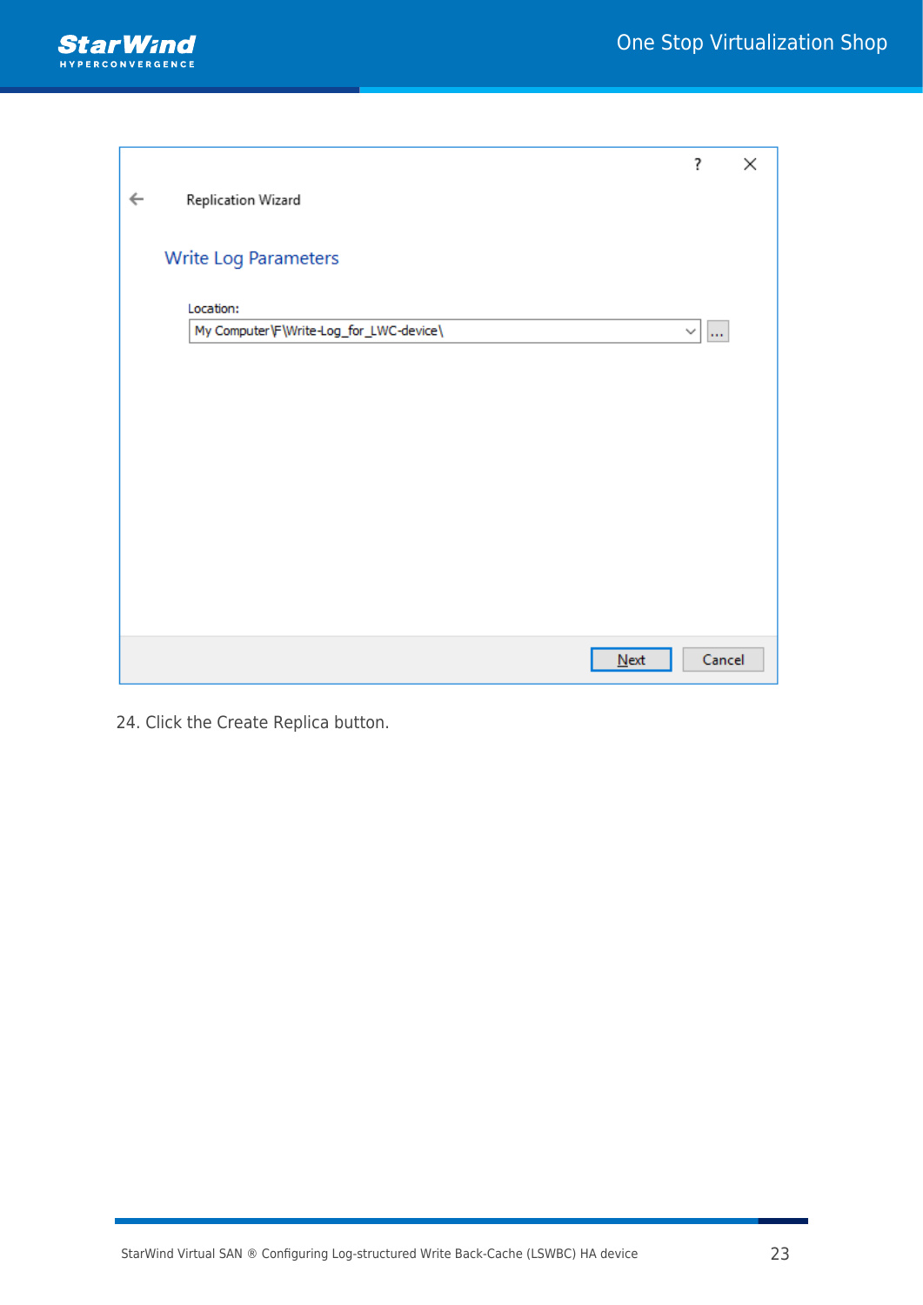

|              |                                         | ?      | × |
|--------------|-----------------------------------------|--------|---|
| $\leftarrow$ | Replication Wizard                      |        |   |
|              |                                         |        |   |
|              | Write Log Parameters                    |        |   |
|              | Location:                               |        |   |
|              | My Computer\F\Write-Log_for_LWC-device\ | $\vee$ |   |
|              |                                         |        |   |
|              |                                         |        |   |
|              |                                         |        |   |
|              |                                         |        |   |
|              |                                         |        |   |
|              |                                         |        |   |
|              |                                         |        |   |
|              |                                         |        |   |
|              |                                         |        |   |
|              | $N$ ext                                 | Cancel |   |

24. Click the Create Replica button.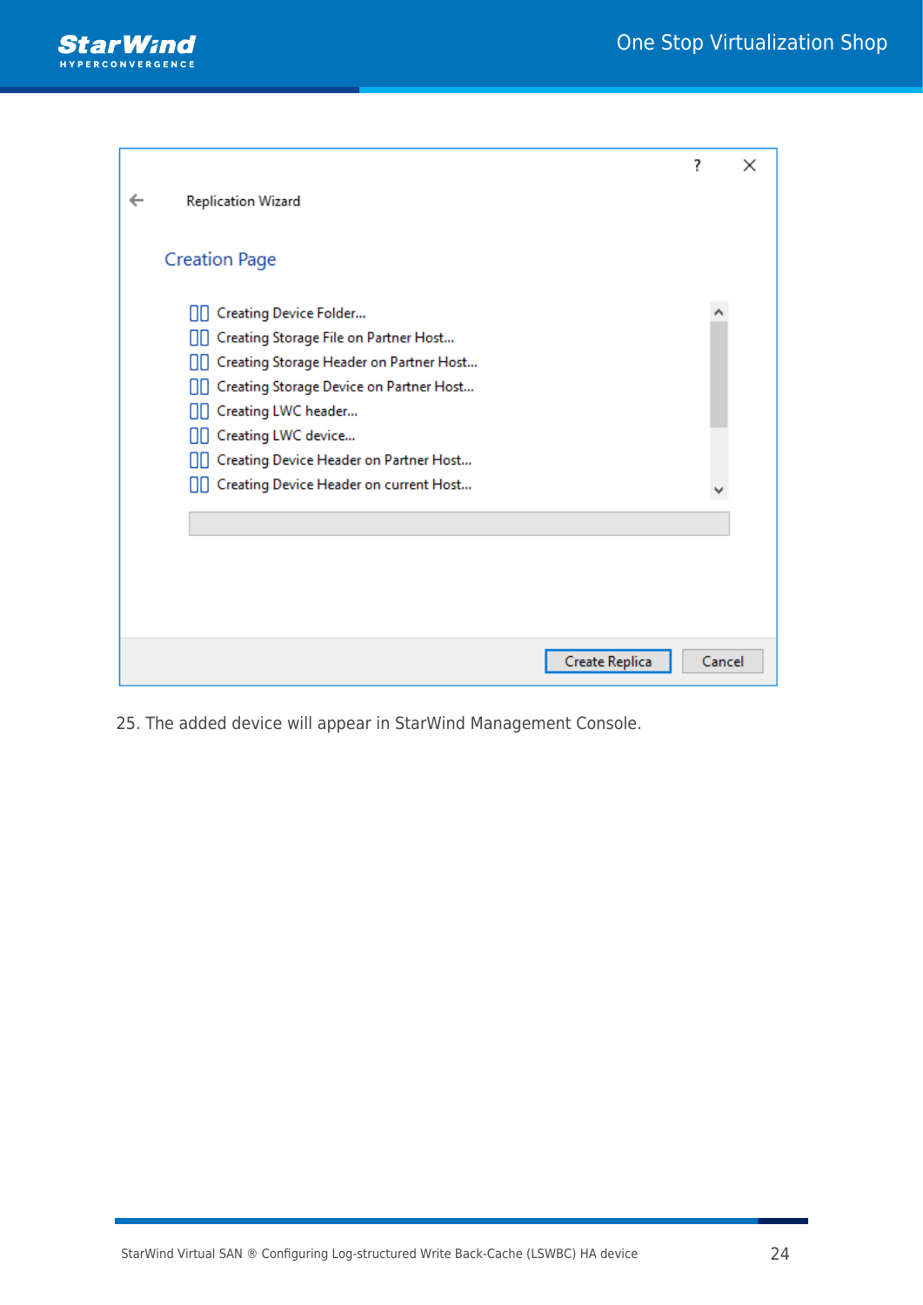

|                                              | ?      | × |
|----------------------------------------------|--------|---|
| Replication Wizard                           |        |   |
|                                              |        |   |
| <b>Creation Page</b>                         |        |   |
| <b>OD</b> Creating Device Folder             |        |   |
| [ Creating Storage File on Partner Host      |        |   |
| [Creating Storage Header on Partner Host     |        |   |
| [][] Creating Storage Device on Partner Host |        |   |
| □□ Creating LWC header                       |        |   |
| [][ Creating LWC device                      |        |   |
| [Creating Device Header on Partner Host      |        |   |
| □□ Creating Device Header on current Host    |        |   |
|                                              |        |   |
|                                              |        |   |
|                                              |        |   |
|                                              |        |   |
|                                              |        |   |
|                                              |        |   |
| Create Replica                               | Cancel |   |

25. The added device will appear in StarWind Management Console.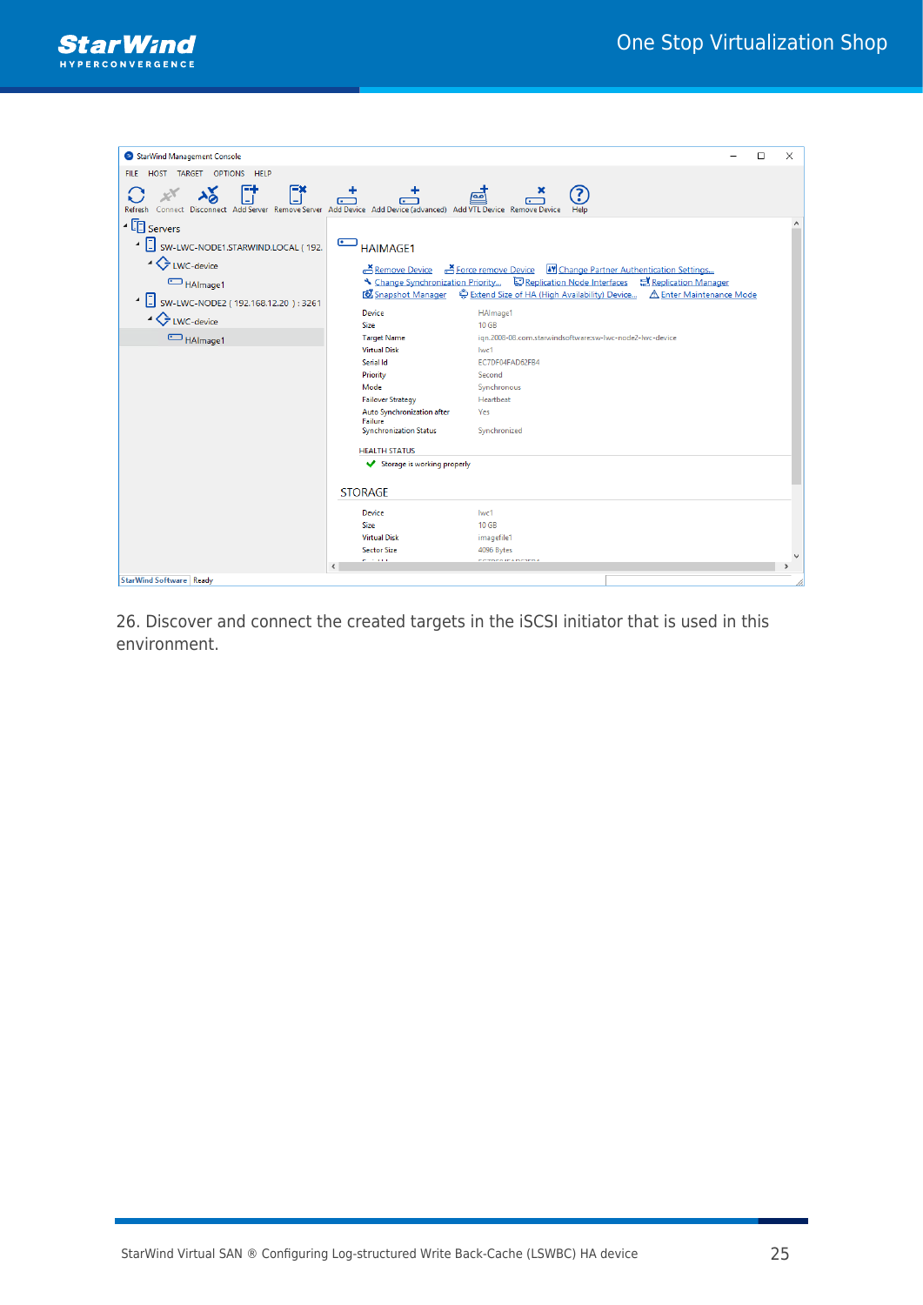

| StarWind Management Console                                                                                                                      |                                           | $\Box$                                                                                          | $\times$      |
|--------------------------------------------------------------------------------------------------------------------------------------------------|-------------------------------------------|-------------------------------------------------------------------------------------------------|---------------|
| HOST TARGET OPTIONS HELP<br><b>FILE</b>                                                                                                          |                                           |                                                                                                 |               |
|                                                                                                                                                  |                                           |                                                                                                 |               |
| 計<br>E*<br>$\frac{1}{2}$<br>Connect Disconnect Add Server Remove Server Add Device Add Device (advanced) Add VTL Device Remove Device<br>Refresh |                                           | 3<br>آمه                                                                                        |               |
| $\frac{1}{2}$ Servers                                                                                                                            |                                           |                                                                                                 |               |
| 4 J SW-LWC-NODE1.STARWIND.LOCAL (192.                                                                                                            | <b>HAIMAGE1</b>                           |                                                                                                 |               |
| ▲ LWC-device                                                                                                                                     |                                           | Remove Device A Force remove Device My Change Partner Authentication Settings                   |               |
| HAlmage1                                                                                                                                         |                                           | N Change Synchronization Priority $\Box$ Replication Node Interfaces $\Box$ Replication Manager |               |
| 4 J SW-LWC-NODE2 (192.168.12.20): 3261                                                                                                           | <b>&amp;</b> Snapshot Manager             | Extend Size of HA (High Availability) Device A Enter Maintenance Mode                           |               |
| ▲ LWC-device                                                                                                                                     | <b>Device</b>                             | HAlmage1                                                                                        |               |
|                                                                                                                                                  | <b>Size</b>                               | <b>10 GB</b><br>ign.2008-08.com.starwindsoftware:sw-lwc-node2-lwc-device                        |               |
| HAlmage1                                                                                                                                         | <b>Target Name</b><br><b>Virtual Disk</b> | lwc1                                                                                            |               |
|                                                                                                                                                  | Serial Id                                 | EC7DF04FAD62FB4                                                                                 |               |
|                                                                                                                                                  | Priority                                  | Second                                                                                          |               |
|                                                                                                                                                  | Mode                                      | Synchronous                                                                                     |               |
|                                                                                                                                                  | <b>Failover Strategy</b>                  | Heartbeat                                                                                       |               |
|                                                                                                                                                  | Auto Synchronization after                | Yes                                                                                             |               |
|                                                                                                                                                  | Failure<br><b>Synchronization Status</b>  | Synchronized                                                                                    |               |
|                                                                                                                                                  | <b>HEALTH STATUS</b>                      |                                                                                                 |               |
|                                                                                                                                                  | Storage is working properly               |                                                                                                 |               |
|                                                                                                                                                  | <b>STORAGE</b>                            |                                                                                                 |               |
|                                                                                                                                                  | <b>Device</b>                             | lwc1                                                                                            |               |
|                                                                                                                                                  | <b>Size</b>                               | 10 GB                                                                                           |               |
|                                                                                                                                                  | <b>Virtual Disk</b>                       | imagefile1                                                                                      |               |
|                                                                                                                                                  | <b>Sector Size</b>                        | 4096 Bytes                                                                                      |               |
|                                                                                                                                                  | <b>ALCOHOL:</b>                           | <b>CORPORATA DCOEDA</b>                                                                         | $\mathcal{P}$ |
| StarWind Software Ready                                                                                                                          |                                           |                                                                                                 |               |

26. Discover and connect the created targets in the iSCSI initiator that is used in this environment.